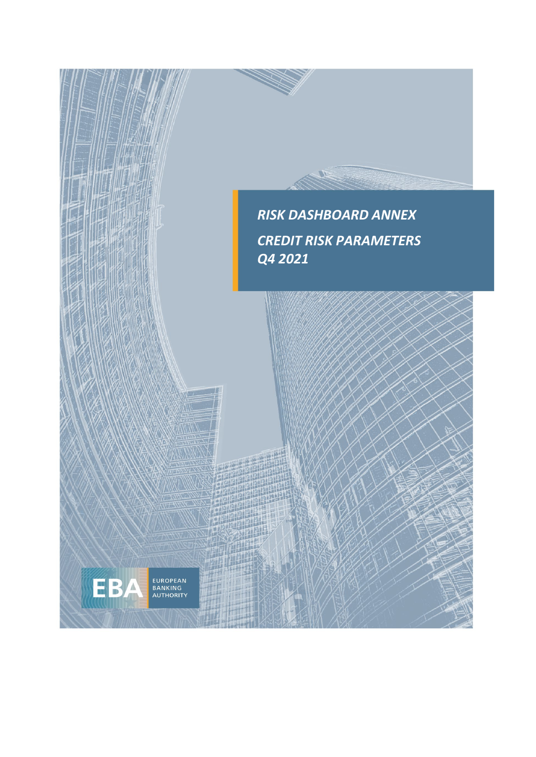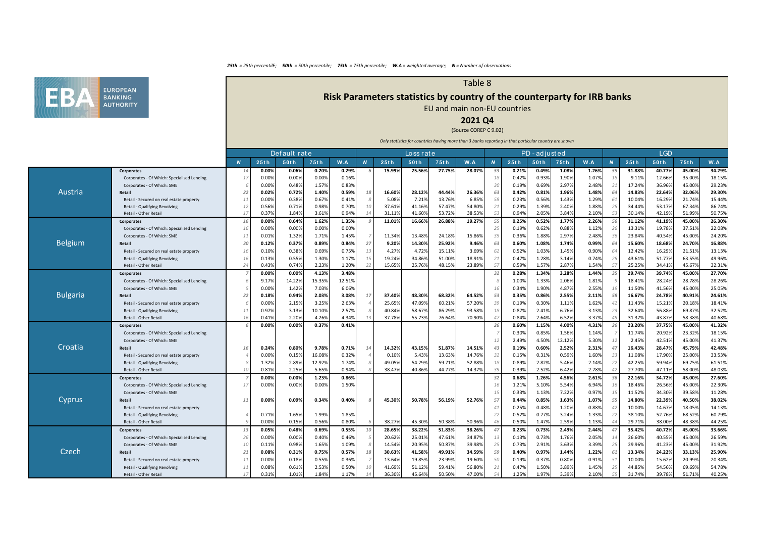

# **Risk Parameters statistics by country of the counterparty for IRB banks**

Table 8

EU and main non-EU countries

## **2021 Q4**

### (Source COREP C 9.02)

|                 |                                                        |              |                | Default rate   |                |                |                |                  | Loss rat e       |                  |                  |                             |                | PD-adjusted    |                |                |                   |                  | <b>LGD</b>       |                  |                  |
|-----------------|--------------------------------------------------------|--------------|----------------|----------------|----------------|----------------|----------------|------------------|------------------|------------------|------------------|-----------------------------|----------------|----------------|----------------|----------------|-------------------|------------------|------------------|------------------|------------------|
|                 |                                                        | $\mathbf{N}$ | 25th           | 50th           | 75th           | W.A            | $\overline{N}$ | 25th             | 50th             | 75th             | W.A              | N                           | 25th           | 50th           | 75th           | W.A            | $\boldsymbol{N}$  | 25th             | 50th             | 75th             | W.A              |
|                 | Corporates                                             | 14           | 0.00%          | 0.06%          | 0.20%          | 0.29%          |                | 15.99%           | 25.56%           | 27.75%           | 28.07%           | 53                          | 0.21%          | 0.49%          | 1.08%          | 1.26%          | 55                | 31.88%           | 40.77%           | 45.00%           | 34.29%           |
|                 | Corporates - Of Which: Specialised Lending             | 1            | 0.00%          | 0.00%          | 0.00%          | 0.16%          |                |                  |                  |                  |                  | 18                          | 0.42%          | 0.93%          | 1.90%          | 1.079          |                   | 9.119            | 12.66%           | 35.00%           | 18.15%           |
|                 | Corporates - Of Which: SME                             |              | 0.00%          | 0.48%          | 1.57%          | 0.83%          |                |                  |                  |                  |                  | 30                          | 0.19%          | 0.69%          | 2.97%          | 2.48%          | 31                | 17.24%           | 36.96%           | 45.00%           | 29.23%           |
| Austria         | Retail                                                 | 22           | 0.02%          | 0.72%          | 1.40%          | 0.59%          | 18             | 16.60%           | 28.12%           | 44.44%           | 26.36%           | 63                          | 0.42%          | 0.81%          | 1.96%          | 1.48%          | - 6               | 14.83%           | 22.64%           | 32.06%           | 29.30%           |
|                 | Retail - Secured on real estate property               | 11           | 0.00%          | 0.38%          | 0.67%          | 0.41%          | 8              | 5.08%            | 7.21%            | 13.769           | 6.859            | 58                          | 0.23%          | 0.56%          | 1.43%          | 1.29%          | 6.                | 10.04%           | 16.29%           | 21.74%           | 15.44%           |
|                 | Retail - Qualifying Revolving                          | 12           | 0.56%          | 0.71%          | 0.98%          | 0.70%          | 10             | 37.61%           | 41.16%           | 57.47%           | 54.80%           | 21                          | 0.29%          | 1.39%          | 2.40%          | 1.88%          | 25                | 34.449           | 53.17%           | 67.349           | 86.74%           |
|                 | Retail - Other Retail                                  | 17           | 0.379          | 1.84%          | 3.61%          | 0.949          | 14             | 31.11%           | 41.60%           | 53.72%           | 38.539           | 53                          | 0.94%          | 2.059          | 3.84%          | 2.10%          |                   | 30.149           | 42.199           | 51.999           | 50.75%           |
|                 | Corporates                                             | 16           | 0.00%          | 0.64%          | 1.62%          | 1.35%          |                | 11.01%           | 16.66%           | 26.88%           | 19.27%           | 55                          | 0.25%          | 0.52%          | 1.77%          | 2.26%          | 56                | 31.12%           | 41.19%           | 45.00%           | 26.30%           |
|                 | Corporates - Of Which: Specialised Lending             | 16           | 0.00%          | 0.00%          | 0.00%          | 0.00%          |                |                  |                  |                  |                  | 25                          | 0.19%          | 0.62%          | 0.88%          | 1.12%          | 2                 | 13.319           | 19.78%           | 37.51%           | 22.08%           |
|                 | Corporates - Of Which: SME                             | 11           | 0.01%          | 1.32%          | 1.71%          | 1.45%          |                | 11.34%           | 13.48%           | 24.189           | 15.869           | 35                          | 0.36%          | 1.88%          | 2.97%          | 2.48%          | - 3               | 23.84%           | 40.54%           | 45.00%           | 24.20%           |
| <b>Belgium</b>  | Retail                                                 | 30           | 0.12%          | 0.37%          | 0.89%          | 0.84%          | 27             | 9.20%            | 14.30%           | 25.929           | 9.46%            | 63                          | 0.60%          | 1.08%          | 1.74%          | 0.99%          | 64                | 15.60%           | 18.68%           | 24.70%           | 16.88%           |
|                 | Retail - Secured on real estate property               | 16           | 0.10%          | 0.38%          | 0.69%          | 0.75%          | 13             | 4.27%            | 4.72%            | 15.11%           | 3.69%            | 62                          | 0.52%          | 1.03%          | 1.45%          | 0.90%          | 6                 | 12.42%           | 16.29%           | 21.51%           | 13.13%           |
|                 | Retail - Qualifying Revolving                          | 16           | 0.13%          | 0.55%          | 1.30%          | 1.17%          | 15             | 19.24%           | 34.86%           | 51.00%           | 18.919           | 21                          | 0.47%          | 1.28%          | 3.14%          | 0.74%          | -25               | 43.61%           | 51.77%           | 63.55%           | 49.96%           |
|                 | Retail - Other Retail                                  | 24           | 0.43%          | 0.74%          | 2.23%          | 1.20%          | 22             | 15.65%           | 25.76%           | 48.15%           | 23.899           | 57                          | 0.59%          | 1.579          | 2.87%          | 1.54%          | $\sqrt{2}$        | 25.259           | 34.419           | 45.679           | 32.31%           |
|                 | Corporates                                             |              | 0.00%          | 0.00%          | 4.13%          | 3.48%          |                |                  |                  |                  |                  | 32                          | 0.28%          | 1.34%          | 3.28%          | 1.44%          | 3!                | 29.74%           | 39.74%           | 45.00%           | 27.70%           |
|                 | Corporates - Of Which: Specialised Lending             |              | 9.17%          | 14.22%         | 15.35%         | 12.51%         |                |                  |                  |                  |                  |                             | 1.00%          | 1.33%          | 2.06%          | 1.81%          |                   | 18.41%           | 28.24%           | 28.78%           | 28.26%           |
|                 | Corporates - Of Which: SME                             |              | 0.00%          | 1.42%          | 7.03%          | 6.06%          |                |                  |                  |                  |                  | 16                          | 0.34%          | 1.90%          | 4.87%          | 2.55%          | $\mathbf{1}$      | 11.50%           | 41.56%           | 45.00%           | 25.05%           |
| <b>Bulgaria</b> | Retail                                                 | 22           | 0.18%          | 0.94%          | 2.03%          | 3.08%          | 17             | 37.40%           | 48.30%           | 68.32%           | 64.529           | 53                          | 0.35%          | 0.86%          | 2.55%          | 2.11%          | 58                | 16.67%           | 24.78%           | 40.91%           | 24.61%           |
|                 | Retail - Secured on real estate property               |              | 0.00%          | 2.15%          | 3.25%          | 2.63%          |                | 25.65%           | 47.09%           | 60.21%           | 57.209           | 39                          | 0.19%          | 0.30%          | 1.11%          | 1.62%          | $\overline{A}$    | 11.43%           | 15.21%           | 20.18%           | 18.41%           |
|                 | Retail - Qualifying Revolving                          | 11           | 0.97%          | 3.13%          | 10.10%         | 2.57%          |                | 40.84%           | 58.67%           | 86.29%           | 93.58%           | 18                          | 0.87%          | 2.41%          | 6.76%          | 3.13%          | -2.               | 32.649           | 56.88%           | 69.87%           | 32.52%           |
|                 | Retail - Other Retail                                  |              | 0.419          | 2.20%          | 4.26%          | 4.34%          |                | 37.78%           | 55.73%           | 76.64%           | 70.90%           | 47                          | 0.84%          | 2.64%          | 6.52%          | 3.37%          |                   | 31.379           | 43.87%           | 58.38%           | 40.68%           |
|                 | Corporates                                             |              | 0.00%          | 0.00%          | 0.37%          | 0.41%          |                |                  |                  |                  |                  | 26                          | 0.60%          | 1.15%          | 4.00%          | 4.31%          | 26                | 23.20%           | 37.75%           | 45.00%           | 41.32%           |
|                 | Corporates - Of Which: Specialised Lending             |              |                |                |                |                |                |                  |                  |                  |                  |                             | 0.30%          | 0.85%          | 1.56%          | 1.14%          |                   | 11.74%           | 20.92%           | 23.32%           | 18.15%           |
|                 | Corporates - Of Which: SME                             |              |                |                |                |                |                |                  |                  |                  |                  | 12                          | 2.49%          | 4.50%          | 12.12%         | 5.30%          | 12                | 2.45%            | 42.51%           | 45.00%           | 41.37%           |
| Croatia         | Retail                                                 | 16           | 0.24%          | 0.80%          | 9.78%          | 0.71%          | 14             | 14.32%           | 43.15%           | 51.87%           | 14.519           | 43                          | 0.19%          | 0.60%          | 2.52%          | 2.31%          | 47                | 16.43%           | 28.47%           | 45.79%           | 42.48%           |
|                 | Retail - Secured on real estate property               |              | 0.00%          | 0.15%          | 16.08%         | 0.32%          |                | 0.10%            | 5.43%            | 13.63%           | 14.76%           | 32                          | 0.15%          | 0.31%          | 0.59%          | 1.60%          | $\overline{3}$    | 11.08%           | 17.90%           | 25.00%           | 33.53%           |
|                 | Retail - Qualifying Revolving                          |              | 1.32%          | 2.89%          | 12.92%         | 1.74%          |                | 49.05%           | 54.29%           | 59.71%           | 52.889           | 18                          | 0.89%          | 2.829          | 5.46%          | 2.14%          | 22                | 42.259           | 59.94%           | 69.75%           | 61.51%           |
|                 | Retail - Other Retail                                  |              | 0.819          | 2.25%          | 5.65%          | 0.94%          |                | 38.47%           | 40.86%           | 44.77%           | 14.379           | 39                          | 0.39%          | 2.52%          | 6.42%          | 2.78%          | $\overline{4}$    | 27.70%           | 47.11%           | 58.00%           | 48.03%           |
|                 | Corporates                                             |              | 0.00%          | 0.00%          | 1.23%          | 0.86%          |                |                  |                  |                  |                  | 32                          | 0.68%          | 1.26%          | 4.56%          | 2.61%          | 36                | 22.16%           | 34.72%           | 45.00%           | 27.60%           |
|                 | Corporates - Of Which: Specialised Lending             | 17           | 0.00%          | 0.00%          | 0.00%          | 1.50%          |                |                  |                  |                  |                  | 16                          | 1.21%          | 5.10%          | 5.54%          | 6.94%          |                   | 18.469           | 26.56%           | 45.00%           | 22.30%           |
|                 | Corporates - Of Which: SME                             |              |                |                |                |                |                |                  |                  |                  |                  | 15                          | 0.33%          | 1.13%          | 7.22%          | 0.97%          | $\mathbf{1}$      | 11.52%           | 34.30%           | 39.589           | 11.28%           |
| Cyprus          | Retail                                                 | 11           | 0.00%          | 0.09%          | 0.34%          | 0.40%          | 8              | 45.30%           | 50.78%           | 56.19%           | 52.76%           | 57                          | 0.44%          | 0.85%          | 1.63%          | 1.07%          | 55                | 14.80%           | 22.39%           | 40.50%           | 38.02%           |
|                 | Retail - Secured on real estate property               |              |                |                |                |                |                |                  |                  |                  |                  | 41                          | 0.25%          | 0.48%          | 1.20%          | 0.88%          | $\Delta$          | 10.00%           | 14.67%           | 18.05%           | 14.13%           |
|                 | Retail - Qualifying Revolving<br>Retail - Other Retail |              | 0.71%<br>0.00% | 1.65%<br>0.15% | 1.99%<br>0.56% | 1.85%<br>0.80% |                | 38.27%           | 45.30%           | 50.389           | 50.96            | 22<br>$\Delta$ <sub>6</sub> | 0.52%<br>0.50% | 0.779<br>1.479 | 3.24%<br>2.59% | 1.33%<br>1.13% | -22               | 38.10%<br>29.719 | 52.76%<br>38.009 | 68.52%<br>48.389 | 60.79%<br>44.25% |
|                 |                                                        | 13           | 0.05%          | 0.48%          | 0.69%          | 0.55%          | 10             | 28.65%           | 38.22%           | 51.83%           | 38.26%           | 47                          | 0.23%          | 0.73%          | 2.49%          | 2.44%          | $\overline{a}$    | 35.42%           | 40.72%           | 45.00%           | 33.66%           |
|                 | Corporates                                             | 26           |                |                |                |                |                |                  |                  |                  |                  |                             |                |                | 1.76%          | 2.05%          |                   | 26.60%           | 40.55%           | 45.00%           |                  |
|                 | Corporates - Of Which: Specialised Lending             |              | 0.00%          | 0.00%          | 0.40%          | 0.46%          |                | 20.62%<br>14.54% | 25.01%           | 47.61%           | 34.879           | 13                          | 0.13%          | 0.73%          |                |                |                   | 29.969           |                  | 45.00%           | 26.59%           |
| Czech           | Corporates - Of Which: SME                             | 10           | 0.11%          | 0.98%          | 1.65%          | 1.09%          | -8             |                  | 20.95%           | 50.87%           | 39.98%           | 25<br>59                    | 0.73%          | 2.91%          | 3.63%          | 3.39%          | 25                |                  | 41.23%           |                  | 31.92%           |
|                 | Retail                                                 | 21           | 0.08%          | 0.31%          | 0.75%          | 0.57%          | 18             | 30.63%           | 41.58%           | 49.91%           | 34.59%           | 50                          | 0.40%          | 0.97%          | 1.44%          | 1.22%          | 6                 | 13.34%           | 24.22%           | 33.13%           | 25.90%           |
|                 | Retail - Secured on real estate property               | 11           | 0.00%          | 0.18%          | 0.55%          | 0.36%          |                | 13.64%           | 19.85%           | 23.999           | 19.60%           |                             | 0.19%          | 0.379          | 0.80%          | 0.91%          | -5.               | 10.00%           | 15.62%           | 20.999           | 20.34%           |
|                 | Retail - Qualifying Revolving                          | 11<br>17     | 0.089<br>0.31% | 0.61%<br>1.01% | 2.53%<br>1.84% | 0.50%<br>1.17% | 10             | 41.69%<br>36.30% | 51.12%<br>45.649 | 59.419<br>50.509 | 56.80%<br>47.00% | 21<br>54                    | 0.47%<br>1.25% | 1.50%          | 3.89%<br>3.39% | 1.45%<br>2.10% | -25<br>$\sqrt{2}$ | 44.85%<br>31.74% | 54.56%<br>39.78% | 69.69%           | 54.78%<br>40.25% |
|                 | Retail - Other Retail                                  |              |                |                |                |                |                |                  |                  |                  |                  |                             |                | 1.97%          |                |                |                   |                  |                  | 51.71%           |                  |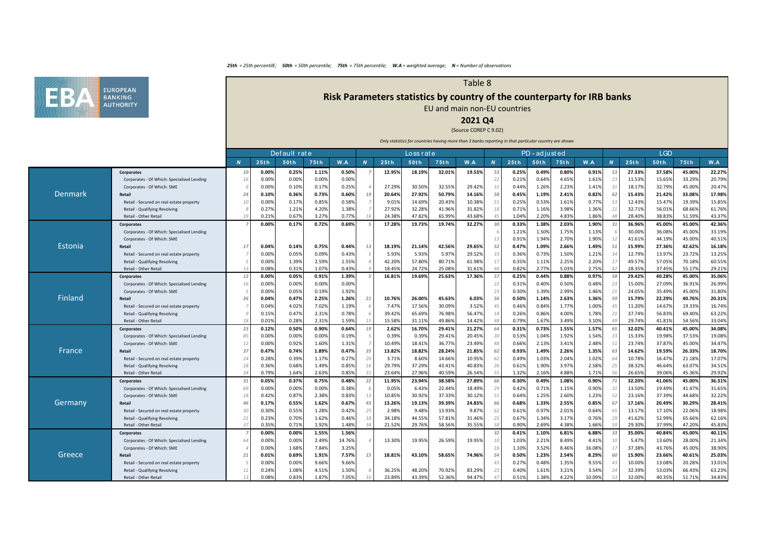

# **Risk Parameters statistics by country of the counterparty for IRB banks**

Table 8

EU and main non-EU countries

## **2021 Q4**

### (Source COREP C 9.02)

|         |                                            |                |       | Default rate |       |        |                  |        | Loss rat e |        |        |                       |       | PD-adjusted |       |        |                |        | <b>LGD</b> |        |        |
|---------|--------------------------------------------|----------------|-------|--------------|-------|--------|------------------|--------|------------|--------|--------|-----------------------|-------|-------------|-------|--------|----------------|--------|------------|--------|--------|
|         |                                            | $\overline{N}$ | 25th  | 50th         | 75th  | W.A    | $\boldsymbol{N}$ | 25th   | 50th       | 75th   | W.A    | $\overline{N}$        | 25th  | <b>50th</b> | 75th  | W.A    | $\overline{M}$ | 25th   | 50th       | 75th   | W.A    |
|         | Corporates                                 | 10             | 0.00% | 0.25%        | 1.11% | 0.50%  |                  | 12.95% | 18.199     | 32.01% | 19.53% | 53                    | 0.25% | 0.49%       | 0.80% | 0.91%  | 53             | 27.33% | 37.58%     | 45.00% | 22.27% |
|         | Corporates - Of Which: Specialised Lending | 16             | 0.00% | 0.00%        | 0.00% | 0.00%  |                  |        |            |        |        | 22                    | 0.21% | 0.64%       | 4.65% | 1.61%  | 23             | 11.53% | 15.65%     | 33.29% | 20.79% |
|         | Corporates - Of Which: SME                 |                | 0.00% | 0.10%        | 0.17% | 0.25%  |                  | 27.299 | 30.509     | 32.559 | 29.429 | 31                    | 0.44% | 1.26%       | 2.23% | 1.41%  | 3              | 18.17% | 32.79%     | 45.00% | 20.47% |
| Denmark | Retail                                     | 24             | 0.10% | 0.36%        | 0.73% | 0.60%  | 19               | 20.64% | 27.92%     | 50.79% | 14.169 | 58                    | 0.45% | 1.19%       | 2.41% | 0.82%  | 62             | 15.43% | 21.42%     | 33.08% | 17.98% |
|         | Retail - Secured on real estate property   | 10             | 0.00% | 0.17%        | 0.85% | 0.58%  |                  | 9.01%  | 14.699     | 20.43% | 10.389 | 51                    | 0.25% | 0.53%       | 1.61% | 0.77%  | 53             | 12.43% | 15.47%     | 19.39% | 15.85% |
|         | Retail - Qualifying Revolving              |                | 0.27% | 1.21%        | 4.20% | 1.38%  |                  | 27.92% | 32.289     | 41.96% | 31.829 | 18                    | 0.71% | 1.16%       | 3.98% | 1.36%  | -21            | 32.71% | 56.019     | 68.66% | 61.76% |
|         | Retail - Other Retail                      |                | 0.21% | 0.67%        | 3.27% | 0.77%  |                  | 24.389 | 47.829     | 65.99% | 43.689 | 45                    | 1.04% | 2.209       | 4.83% | 1.86%  |                | 28.40% | 38.839     | 51.59% | 43.37% |
|         | Corporates                                 |                | 0.00% | 0.17%        | 0.72% | 0.69%  | $\sqrt{2}$       | 17.28% | 19.73%     | 19.74% | 32.27% | 30                    | 0.33% | 1.38%       | 2.03% | 1.90%  | 31             | 36.96% | 45.00%     | 45.00% | 42.36% |
|         | Corporates - Of Which: Specialised Lending |                |       |              |       |        |                  |        |            |        |        |                       | 1.21% | 1.50%       | 1.75% | 1.13%  |                | 30.00% | 36.08%     | 45.00% | 33.19% |
|         | Corporates - Of Which: SME                 |                |       |              |       |        |                  |        |            |        |        | 13                    | 0.91% | 1.94%       | 2.70% | 1.90%  | 12             | 41.619 | 44.199     | 45.00% | 40.51% |
| Estonia | Retail                                     | 17             | 0.04% | 0.14%        | 0.75% | 0.44%  | 13               | 18.19% | 21.14%     | 42.56% | 29.65% | 52                    | 0.47% | 1.09%       | 2.66% | 1.49%  | 51             | 15.99% | 27.36%     | 42.62% | 16.18% |
|         | Retail - Secured on real estate property   |                | 0.00% | 0.05%        | 0.09% | 0.43%  |                  | 5.93%  | 5.939      | 5.97%  | 29.52% | 33                    | 0.36% | 0.73%       | 1.50% | 1.21%  | 34             | 12.79% | 13.979     | 23.72% | 13.25% |
|         | Retail - Qualifying Revolving              |                | 0.00% | 1.39%        | 2.59% | 1.55%  |                  | 42.20% | 57.809     | 80.71% | 61.989 | 17                    | 0.35% | 1.11%       | 2.25% | 2.20%  | 1              | 49.57% | 57.05%     | 70.18% | 60.55% |
|         | Retail - Other Retail                      | 13             | 0.089 | 0.31%        | 1.07% | 0.43%  |                  | 18.459 | 24.729     | 25.08% | 31.619 | 44                    | 0.82% | 2.779       | 5.03% | 2.75%  | $\Delta$       | 28.35% | 37.459     | 55.17% | 29.21% |
|         | Corporates                                 | 12             | 0.00% | 0.05%        | 0.91% | 1.39%  |                  | 16.81% | 19.69%     | 25.63% | 17.36% | 57                    | 0.25% | 0.44%       | 0.88% | 0.97%  | 58             | 29.42% | 40.28%     | 45.00% | 35.06% |
|         | Corporates - Of Which: Specialised Lending | 16             | 0.00% | 0.00%        | 0.00% | 0.00%  |                  |        |            |        |        | 22                    | 0.31% | 0.40%       | 0.50% | 0.48%  | 2:             | 15.00% | 27.09%     | 36.91% | 26.99% |
|         | Corporates - Of Which: SME                 |                | 0.00% | 0.05%        | 0.19% | 1.92%  |                  |        |            |        |        | 23                    | 0.30% | 1.39%       | 2.99% | 1.46%  | 21             | 24.05% | 35.49%     | 45.00% | 31.80% |
| Finland | Retail                                     | 26             | 0.04% | 0.47%        | 2.25% | 1.26%  | 21               | 10.76% | 26.00%     | 45.63% | 6.039  | 56                    | 0.50% | 1.14%       | 2.63% | 1.36%  | 59             | 15.79% | 22.29%     | 40.76% | 20.31% |
|         | Retail - Secured on real estate property   |                | 0.04% | 4.02%        | 7.02% | 1.19%  |                  | 7.47%  | 17.569     | 30.09% | 3.529  | 45                    | 0.46% | 0.84%       | 1.77% | 1.00%  | 4!             | 11.20% | 14.67%     | 19.33% | 16.74% |
|         | Retail - Qualifying Revolving              |                | 0.15% | 0.47%        | 2.31% | 0.78%  |                  | 39.42% | 65.699     | 76.98% | 56.479 | 18                    | 0.26% | 0.86%       | 4.00% | 1.78%  | 2:             | 37.74% | 56.83%     | 69.40% | 63.22% |
|         | Retail - Other Retail                      |                | 0.019 | 0.28%        | 2.31% | 1.59%  |                  | 15.589 | 31.119     | 49.869 | 14.429 | $\Delta$ <sub>R</sub> | 0.79% | 1.679       | 3.49% | 3.10%  |                | 29.749 | 41.819     | 54.56% | 33.04% |
|         | Corporates                                 | 23             | 0.12% | 0.50%        | 0.90% | 0.64%  | 19               | 2.62%  | 16.70%     | 29.41% | 21.279 | 64                    | 0.31% | 0.73%       | 1.55% | 1.57%  | 65             | 32.02% | 40.41%     | 45.00% | 34.08% |
|         | Corporates - Of Which: Specialised Lending | 85             | 0.00% | 0.00%        | 0.00% | 0.19%  |                  | 0.39%  | 0.399      | 29.41% | 20.459 | 30                    | 0.53% | 1.04%       | 1.92% | 1.54%  | $-3.3$         | 15.33% | 19.98%     | 37.53% | 19.08% |
|         | Corporates - Of Which: SME                 | 12             | 0.00% | 0.92%        | 1.60% | 1.31%  |                  | 10.49% | 18.419     | 36.779 | 23.49% | 48                    | 0.66% | 2.13%       | 3.41% | 2.48%  | 51             | 23.74% | 37.879     | 45.00% | 34.47% |
| France  | Retail                                     | 37             | 0.47% | 0.74%        | 1.89% | 0.47%  | 35               | 13.82% | 18.829     | 28.24% | 21.85% | 62                    | 0.93% | 1.49%       | 2.26% | 1.35%  | 63             | 14.62% | 19.59%     | 26.33% | 18.70% |
|         | Retail - Secured on real estate property   | 24             | 0.28% | 0.39%        | 1.17% | 0.27%  | 20               | 3.71%  | 8.609      | 14.66% | 10.959 | 62                    | 0.49% | 1.03%       | 2.04% | 1.02%  | 64             | 10.78% | 16.47%     | 21.18% | 17.07% |
|         | Retail - Qualifying Revolving              | 18             | 0.36% | 0.68%        | 1.49% | 0.85%  | 16               | 29.79% | 37.299     | 43.41% | 40.839 | 26                    | 0.61% | 1.90%       | 3.97% | 2.58%  | -25            | 38.32% | 46.649     | 63.07% | 34.51% |
|         | Retail - Other Retail                      | 34             | 0.79% | 1.64%        | 2.63% | 0.85%  | 31               | 23.649 | 27.969     | 40.59% | 26.549 | 55                    | 1.32% | 2.169       | 4.88% | 1.71%  | $-56$          | 26.659 | 39.069     | 45.36% | 29.92% |
|         | <b>Corporates</b>                          | 31             | 0.05% | 0.37%        | 0.75% | 0.48%  | 22               | 11.95% | 23.94%     | 38.58% | 27.89% | 66                    | 0.30% | 0.49%       | 1.08% | 0.90%  | - 71           | 32.20% | 41.06%     | 45.00% | 36.31% |
|         | Corporates - Of Which: Specialised Lending | 69             | 0.00% | 0.00%        | 0.00% | 0.38%  |                  | 0.05%  | 6.439      | 22.44% | 18.499 | 29                    | 0.42% | 0.71%       | 1.15% | 0.90%  | $\beta$        | 13.50% | 19.49%     | 41.47% | 31.65% |
|         | Corporates - Of Which: SME                 | 18             | 0.42% | 0.87%        | 2.38% | 0.83%  | 13               | 10.85% | 30.929     | 37.339 | 30.129 | 51                    | 0.64% | 1.25%       | 2.60% | 1.23%  | 52             | 23.16% | 37.39%     | 44.68% | 32.22% |
| Germany | Retail                                     | 46             | 0.17% | 0.55%        | 1.62% | 0.67%  | 43               | 13.26% | 19.139     | 39.39% | 24.83% | 66                    | 0.68% | 1.33%       | 2.55% | 0.85%  | 67             | 17.169 | 20.49%     | 30.29% | 28.41% |
|         | Retail - Secured on real estate property   | 30             | 0.30% | 0.55%        | 1.28% | 0.42%  | 25               | 2.98%  | 9.489      | 13.93% | 9.879  | 62                    | 0.61% | 0.97%       | 2.01% | 0.64%  |                | 13.179 | 17.10%     | 22.06% | 18.98% |
|         | Retail - Qualifying Revolving              | 21             | 0.23% | 0.70%        | 1.62% | 0.46%  | 18               | 34.189 | 44.559     | 57.819 | 31.469 | 25                    | 0.67% | 1.34%       | 3.17% | 0.76%  | 29             | 41.62% | 52.99%     | 65.66% | 62.16% |
|         | Retail - Other Retail                      | 37             | 0.35% | 0.71%        | 1.92% | 1.48%  | 34               | 21.529 | 29.769     | 58.56% | 35.559 | 58                    | 0.90% | 2.69%       | 4.38% | 1.66%  | 50             | 29.30% | 37.99%     | 47.20% | 45.83% |
|         | Corporates                                 |                | 0.00% | 0.00%        | 1.55% | 1.56%  |                  |        |            |        |        | 32                    | 0.41% | 1.10%       | 6.81% | 6.88%  | 33             | 35.00% | 40.84%     | 45.00% | 40.11% |
|         | Corporates - Of Which: Specialised Lending | 64             | 0.00% | 0.00%        | 2.49% | 14.76% |                  | 13.30% | 19.959     | 26.59% | 19.959 | 10                    | 1.03% | 2.21%       | 8.49% | 4.41%  | 10             | 5.47%  | 13.60%     | 28.00% | 21.34% |
|         | Corporates - Of Which: SME                 |                | 0.00% | 1.68%        | 7.84% | 3.25%  |                  |        |            |        |        | 16                    | 1.10% | 3.52%       | 8.46% | 16.08% | 1              | 37.38% | 43.76%     | 45.00% | 38.90% |
| Greece, | Retail                                     | 21             | 0.01% | 0.69%        | 1.91% | 7.57%  | 15               | 18.81% | 43.10%     | 58.65% | 74.96% | 54                    | 0.50% | 1.23%       | 2.54% | 8.29%  | 60             | 15.90% | 23.66%     | 40.61% | 25.03% |
|         | Retail - Secured on real estate property   |                | 0.00% | 0.00%        | 9.66% | 9.66%  |                  |        |            |        |        | 43                    | 0.27% | 0.48%       | 1.35% | 9.55%  | $\mathcal{A}$  | 10.00% | 13.08%     | 20.28% | 13.01% |
|         | Retail - Qualifying Revolving              | 12             | 0.24% | 1.08%        | 4.51% | 1.50%  |                  | 36.259 | 48.209     | 70.929 | 83.299 | 23                    | 0.40% | 1.61%       | 3.21% | 3.54%  |                | 32.39% | 53.039     | 66.43% | 63.23% |
|         | Retail - Other Retail                      |                | 0.08% | 0.83%        | 1.87% | 7.05%  |                  | 23.89% | 43.399     | 52.36% | 94.479 | 47                    | 0.51% | 1.38%       | 4.22% | 10.09% |                | 32.00% | 40.35%     | 51.71% | 34.83% |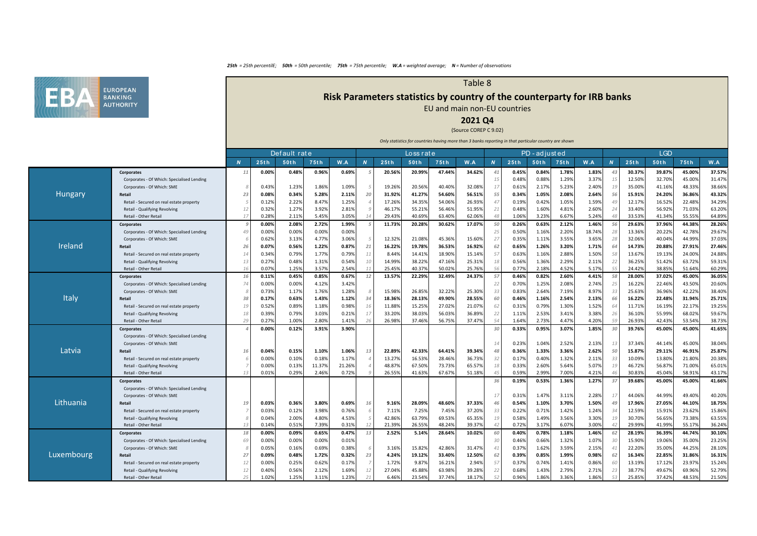

# **Risk Parameters statistics by country of the counterparty for IRB banks**

Table 8

EU and main non-EU countries

## **2021 Q4**

### (Source COREP C 9.02)

|                  |                                            |    |       | Default rate |        |        |            |        | Loss rat e |        |        |                |       | PD-adjusted |       |        |                |        | <b>LGD</b> |        |        |
|------------------|--------------------------------------------|----|-------|--------------|--------|--------|------------|--------|------------|--------|--------|----------------|-------|-------------|-------|--------|----------------|--------|------------|--------|--------|
|                  |                                            | N  | 25th  | 50th         | 75th   | W.A    | N          | 25th   | 50th       | 75th   | W.A    | $\overline{N}$ | 25th  | <b>50th</b> | 75th  | W.A    | $\overline{N}$ | 25th   | 50th       | 75th   | W.A    |
|                  | Corporates                                 | 11 | 0.00% | 0.48%        | 0.96%  | 0.69%  |            | 20.56% | 20.99%     | 47.44% | 34.62% | 41             | 0.45% | 0.84%       | 1.78% | 1.83%  | 43             | 30.37% | 39.87%     | 45.00% | 37.57% |
|                  | Corporates - Of Which: Specialised Lending |    |       |              |        |        |            |        |            |        |        | 15             | 0.48% | 0.88%       | 1.29% | 3.37%  | 1 <sup>1</sup> | 12.50% | 32.70%     | 45.00% | 31.47% |
|                  | Corporates - Of Which: SME                 |    | 0.43% | 1.23%        | 1.86%  | 1.09%  |            | 19.269 | 20.569     | 40.409 | 32.089 | 17             | 0.61% | 2.179       | 5.23% | 2.40%  | 19             | 35.00% | 41.16%     | 48.33% | 38.66% |
| Hungary          | Retail                                     | 23 | 0.08% | 0.34%        | 5.28%  | 2.11%  | 20         | 31.92% | 41.279     | 54.60% | 56.519 | 55             | 0.34% | 1.05%       | 2.08% | 2.64%  | 56             | 15.91% | 24.20%     | 36.86% | 43.32% |
|                  | Retail - Secured on real estate property   |    | 0.12% | 2.22%        | 8.47%  | 1.25%  |            | 17.26% | 34.359     | 54.069 | 26.93% | 47             | 0.19% | 0.42%       | 1.05% | 1.59%  | 4 <sup>0</sup> | 12.17% | 16.52%     | 22.48% | 34.29% |
|                  | Retail - Qualifying Revolving              | 12 | 0.32% | 1.27%        | 3.92%  | 2.81%  |            | 46.17% | 55.219     | 56.469 | 51.959 | 21             | 0.48% | 1.60%       | 4.81% | 2.60%  |                | 33.40% | 56.92%     | 71.03% | 63.20% |
|                  | Retail - Other Retail                      | 17 | 0.28% | 2.11%        | 5.45%  | 3.05%  | 14         | 29.43% | 40.699     | 63.40% | 62.069 | 48             | 1.06% | 3.239       | 6.67% | 5.24%  |                | 33.539 | 41.34%     | 55.55% | 64.89% |
|                  | Corporates                                 |    | 0.00% | 2.08%        | 2.72%  | 1.99%  | $\sqrt{2}$ | 11.73% | 20.28%     | 30.62% | 17.07% | 50             | 0.26% | 0.63%       | 2.12% | 1.46%  | 56             | 29.63% | 37.96%     | 44.38% | 28.26% |
|                  | Corporates - Of Which: Specialised Lending | 49 | 0.00% | 0.00%        | 0.00%  | 0.00%  |            |        |            |        |        | 25             | 0.50% | 1.169       | 2.20% | 18.74% |                | 13.36% | 20.22%     | 42.78% | 29.67% |
|                  | Corporates - Of Which: SME                 |    | 0.62% | 3.13%        | 4.77%  | 3.06%  | $5 \cdot$  | 12.32% | 21.089     | 45.369 | 15.609 | 27             | 0.35% | 1.119       | 3.55% | 3.65%  | 28             | 32.06% | 40.04%     | 44.99% | 37.03% |
| Ireland          | Retail                                     | 26 | 0.07% | 0.56%        | 1.22%  | 0.87%  | 21         | 16.22% | 19.78%     | 36.53% | 16.92% | 62             | 0.65% | 1.26%       | 3.20% | 1.71%  | 64             | 14.73% | 20.88%     | 27.91% | 27.46% |
|                  | Retail - Secured on real estate property   | 14 | 0.34% | 0.79%        | 1.77%  | 0.79%  | 11         | 8.44%  | 14.419     | 18.90% | 15.149 | 57             | 0.63% | 1.169       | 2.88% | 1.50%  | .58            | 13.67% | 19.13%     | 24.00% | 24.88% |
|                  | Retail - Qualifying Revolving              | 13 | 0.27% | 0.48%        | 1.31%  | 0.54%  | 10         | 14.99% | 38.229     | 47.169 | 25.319 | 18             | 0.56% | 1.36%       | 2.29% | 2.11%  | 22             | 36.25% | 51.42%     | 63.72% | 59.31% |
|                  | Retail - Other Retail                      | 16 | 0.07% | 1.25%        | 3.57%  | 2.54%  | 11         | 25.459 | 40.379     | 50.029 | 25.76% | 56             | 0.77% | 2.189       | 4.52% | 5.17%  | 5!             | 24.42% | 38.859     | 51.649 | 60.29% |
|                  | Corporates                                 | 16 | 0.11% | 0.45%        | 0.85%  | 0.67%  | 12         | 13.57% | 22.29%     | 32.49% | 24.379 | 57             | 0.46% | 0.82%       | 2.60% | 4.41%  | 58             | 28.00% | 37.02%     | 45.00% | 36.05% |
|                  | Corporates - Of Which: Specialised Lending | 74 | 0.00% | 0.00%        | 4.12%  | 3.42%  |            |        |            |        |        | 22             | 0.70% | 1.25%       | 2.08% | 2.74%  | 2              | 16.229 | 22.46%     | 43.50% | 20.60% |
|                  | Corporates - Of Which: SME                 |    | 0.73% | 1.17%        | 1.76%  | 1.28%  | 8          | 15.98% | 26.859     | 32.229 | 25.309 | 33             | 0.83% | 2.64%       | 7.19% | 8.97%  | 33             | 25.63% | 36.96%     | 42.22% | 38.40% |
| Italy            | Retail                                     | 38 | 0.17% | 0.63%        | 1.43%  | 1.12%  | 34         | 18.36% | 28.139     | 49.90% | 28.559 | 60             | 0.46% | 1.16%       | 2.54% | 2.13%  | 66             | 16.22% | 22.48%     | 31.94% | 25.71% |
|                  | Retail - Secured on real estate property   | 19 | 0.52% | 0.89%        | 1.18%  | 0.98%  | 16         | 11.88% | 15.259     | 27.029 | 21.079 | 62             | 0.31% | 0.799       | 1.30% | 1.52%  |                | 11.71% | 16.19%     | 22.17% | 19.25% |
|                  | Retail - Qualifying Revolving              | 18 | 0.39% | 0.79%        | 3.03%  | 0.21%  | 17         | 33.20% | 38.039     | 56.03% | 36.899 | 22             | 1.11% | 2.539       | 3.41% | 3.38%  | 2 <sup>t</sup> | 36.10% | 55.99%     | 68.02% | 59.67% |
|                  | Retail - Other Retail                      | 29 | 0.27% | 1.00%        | 2.80%  | 1.41%  |            | 26.98% | 37.469     | 56.759 | 37.479 | 54             | 1.649 | 2.739       | 4.47% | 4.20%  |                | 26.93% | 42.439     | 53.54% | 38.73% |
|                  | Corporates                                 |    | 0.00% | 0.12%        | 3.91%  | 3.90%  |            |        |            |        |        | 30             | 0.33% | 0.95%       | 3.07% | 1.85%  | 30             | 39.76% | 45.00%     | 45.00% | 41.65% |
|                  | Corporates - Of Which: Specialised Lending |    |       |              |        |        |            |        |            |        |        |                |       |             |       |        |                |        |            |        |        |
|                  | Corporates - Of Which: SME                 |    |       |              |        |        |            |        |            |        |        | 14             | 0.23% | 1.04%       | 2.52% | 2.13%  | 1:             | 37.34% | 44.14%     | 45.00% | 38.04% |
| Latvia           | Retail                                     | 16 | 0.04% | 0.15%        | 1.10%  | 1.06%  | 13         | 22.89% | 42.339     | 64.41% | 39.34% | 48             | 0.36% | 1.33%       | 3.36% | 2.62%  | 50             | 15.87% | 29.11%     | 46.91% | 25.87% |
|                  | Retail - Secured on real estate property   |    | 0.00% | 0.10%        | 0.18%  | 1.17%  |            | 13.27% | 16.539     | 28.469 | 36.739 | 32             | 0.17% | 0.40%       | 1.32% | 2.11%  | 33             | 10.09% | 13.80%     | 21.80% | 20.38% |
|                  | Retail - Qualifying Revolving              |    | 0.00% | 0.13%        | 11.37% | 21.26% |            | 48.87% | 67.50      | 73.73% | 65.57% | 18             | 0.33% | 2.60%       | 5.64% | 5.07%  | 19             | 46.72% | 56.879     | 71.00% | 65.01% |
|                  | Retail - Other Retail                      | 13 | 0.01% | 0.29%        | 2.46%  | 0.72%  |            | 26.55% | 41.639     | 67.679 | 51.189 | 45             | 0.59% | 2.99%       | 7.00% | 4.21%  |                | 30.83% | 45.049     | 58.919 | 43.17% |
|                  | Corporates                                 |    |       |              |        |        |            |        |            |        |        | 36             | 0.19% | 0.53%       | 1.36% | 1.27%  | - 37           | 39.68% | 45.00%     | 45.00% | 41.66% |
|                  | Corporates - Of Which: Specialised Lending |    |       |              |        |        |            |        |            |        |        |                |       |             |       |        |                |        |            |        |        |
|                  | Corporates - Of Which: SME                 |    |       |              |        |        |            |        |            |        |        | 17             | 0.31% | 1.47%       | 3.11% | 2.28%  | 17             | 44.06% | 44.99%     | 49.40% | 40.20% |
| <b>Lithuania</b> | Retail                                     | 19 | 0.03% | 0.36%        | 3.80%  | 0.69%  | 16         | 9.16%  | 28.099     | 48.60% | 37.339 | 46             | 0.54% | 1.10%       | 3.70% | 1.50%  | 49             | 17.96% | 27.05%     | 44.10% | 18.75% |
|                  | Retail - Secured on real estate property   |    | 0.03% | 0.12%        | 3.98%  | 0.76%  |            | 7.11%  | 7.259      | 7.45%  | 37.209 | 33             | 0.22% | 0.719       | 1.42% | 1.24%  | $-34$          | 12.59% | 15.919     | 23.62% | 15.86% |
|                  | Retail - Qualifying Revolving              |    | 0.04% | 2.00%        | 4.80%  | 4.53%  |            | 42.86% | 63.799     | 69.539 | 65.359 | 19             | 0.58% | 1.49%       | 3.56% | 3.30%  | 19             | 30.70% | 56.65%     | 73.38% | 63.55% |
|                  | Retail - Other Retail                      | 13 | 0.14% | 0.51%        | 7.39%  | 0.31%  | 12         | 21.399 | 26.559     | 48.249 | 39.379 | 42             | 0.72% | 3.179       | 6.07% | 3.00%  | $\Delta$       | 29.99% | 41.99%     | 55.17% | 36.24% |
|                  | Corporates                                 | 18 | 0.00% | 0.09%        | 0.65%  | 0.47%  | 13         | 2.52%  | 5.14%      | 28.64% | 10.02% | 60             | 0.40% | 0.78%       | 1.18% | 1.46%  | 62             | 28.19% | 36.39%     | 44.74% | 30.10% |
|                  | Corporates - Of Which: Specialised Lending | 69 | 0.00% | 0.00%        | 0.00%  | 0.01%  |            |        |            |        |        | 30             | 0.46% | 0.66%       | 1.32% | 1.07%  | $\beta$        | 15.90% | 19.06%     | 35.00% | 23.25% |
|                  | Corporates - Of Which: SME                 |    | 0.05% | 0.16%        | 0.69%  | 0.38%  | 6          | 3.16%  | 15.829     | 42.869 | 31.479 | 41             | 0.37% | 1.62%       | 3.59% | 2.15%  | $\mathcal{A}$  | 22.20% | 35.00%     | 44.25% | 28.10% |
| Luxembourg       | Retail                                     | 27 | 0.09% | 0.48%        | 1.72%  | 0.32%  | 23         | 4.24%  | 19.129     | 33.40% | 12.50% | 62             | 0.39% | 0.85%       | 1.99% | 0.98%  | 62             | 16.34% | 22.85%     | 31.86% | 16.31% |
|                  | Retail - Secured on real estate property   | 12 | 0.00% | 0.25%        | 0.62%  | 0.17%  | 7          | 1.72%  | 9.87       | 16.219 | 2.949  | 57             | 0.37% | 0.74%       | 1.41% | 0.86%  | 60             | 13.19% | 17.12%     | 23.97% | 15.24% |
|                  | Retail - Qualifying Revolving              | 12 | 0.40% | 0.56%        | 2.12%  | 1.69%  | 12         | 27.04% | 45.889     | 63.98% | 39.289 | 22             | 0.68% | 1.43%       | 2.79% | 2.71%  | 23             | 38.77% | 49.67%     | 69.96% | 52.79% |
|                  | Retail - Other Retail                      | 25 | 1.02% | 1.25%        | 3.11%  | 1.23%  | 21         | 6.46%  | 23.549     | 37.749 | 18.179 | 52             | 0.96% | 1.86%       | 3.36% | 1.86%  |                | 25.85% | 37.42%     | 48.53% | 21.50% |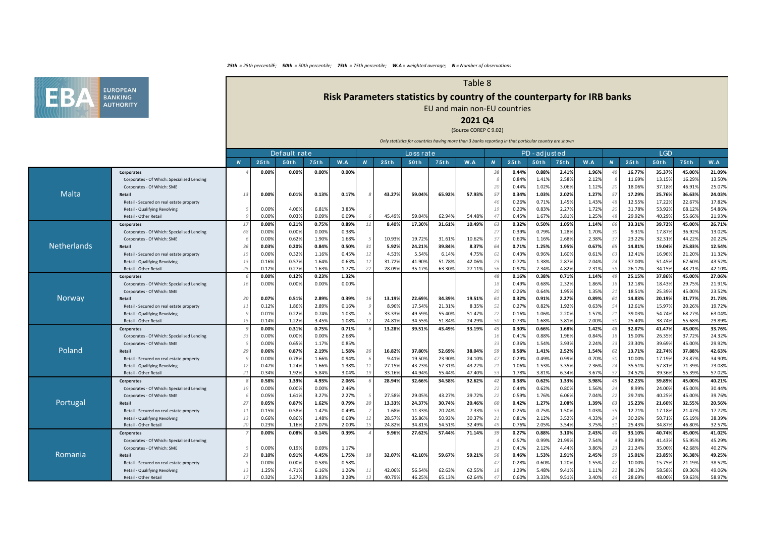

# **Risk Parameters statistics by country of the counterparty for IRB banks**

Table 8

## EU and main non-EU countries

## **2021 Q4**

#### (Source COREP C 9.02)

|                    |                                            |                |                | Default rate   |                |                |          |        | Loss rate |        |        |                |                | PD - adjusted  |                |                |                     |                 | <b>LGD</b>       |                  |                  |
|--------------------|--------------------------------------------|----------------|----------------|----------------|----------------|----------------|----------|--------|-----------|--------|--------|----------------|----------------|----------------|----------------|----------------|---------------------|-----------------|------------------|------------------|------------------|
|                    |                                            | $\overline{N}$ | 25th           | 50th           | 75th           | W.A            | N        | 25th   | 50th      | 75th   | W.A    | $\overline{N}$ | 25th           | 50th           | 75th           | W.A            | $\overline{N}$      | 25th            | 50th             | 75th             | W.A              |
|                    | <b>Corporates</b>                          |                | 0.00%          | 0.00%          | 0.00%          | 0.00%          |          |        |           |        |        | 38             | 0.44%          | 0.88%          | 2.41%          | 1.96%          | $\overline{a}$      | 16.77%          | 35.37%           | 45.00%           | 21.09%           |
|                    | Corporates - Of Which: Specialised Lending |                |                |                |                |                |          |        |           |        |        |                | 0.84%          | 1.41%          | 2.58%          | 2.12%          |                     | 11.69%          | 13.15%           | 16.29%           | 13.50%           |
|                    | Corporates - Of Which: SME                 |                |                |                |                |                |          |        |           |        |        | 20             | 0.44%          | 1.02%          | 3.06%          | 1.12%          | 20                  | 18.06%          | 37.18%           | 46.91%           | 25.07%           |
| Malta              | Retail                                     | 13             | 0.00%          | 0.01%          | 0.13%          | 0.179          |          | 43.27% | 59.04%    | 65.929 | 57.939 | 57             | 0.34%          | 1.03%          | 2.02%          | 1.27%          | 57                  | 17.29%          | 25.76%           | 36.63%           | 24.03%           |
|                    | Retail - Secured on real estate property   |                |                |                |                |                |          |        |           |        |        | 46             | 0.26%          | 0.71%          | 1.45%          | 1.43%          | $\mathcal{A}$       | 12.55%          | 17.22%           | 22.67%           | 17.82%           |
|                    | Retail - Qualifying Revolving              |                | 0.00%          | 4.06%          | 6.81%          | 3.83%          |          |        |           |        |        | 1 <sup>°</sup> | 0.20%          | 0.83%          | 2.27%          | 1.72%          | 2(                  | 31.78%          | 53.92%           | 68.12%           | 54.86%           |
|                    | Retail - Other Retail                      |                | 0.00%          | 0.03%          | 0.09%          | 0.09%          |          | 45.49% | 59.04%    | 62.949 | 54.48  | $\Delta$       | 0.45%          | 1.67%          | 3.819          | 1.25%          | $\Delta$            | 29.92%          | 40.29%           | 55.66%           | 21.93%           |
|                    | Corporates                                 | 17             | 0.00%          | 0.21%          | 0.75%          | 0.89%          | 11       | 8.40%  | 17.30%    | 31.61% | 10.49% | 63             | 0.32%          | 0.50%          | 1.05%          | 1.14%          | 66                  | 33.31%          | 39.72%           | 45.00%           | 26.71%           |
|                    | Corporates - Of Which: Specialised Lending | 68             | 0.00%          | 0.00%          | 0.00%          | 0.38%          |          |        |           |        |        | 27             | 0.39%          | 0.79%          | 1.28%          | 1.70%          | 30                  | 9.31%           | 17.87%           | 36.92%           | 13.02%           |
|                    | Corporates - Of Which: SME                 |                | 0.00%          | 0.62%          | 1.90%          | 1.68%          |          | 10.93% | 19.729    | 31.619 | 10.62  | 37             | 0.60%          | 1.16%          | 2.68%          | 2.38%          | -37                 | 23.22%          | 32.31%           | 44.22%           | 20.22%           |
| <b>Netherlands</b> | Retail                                     | 36             | 0.03%          | 0.20%          | 0.84%          | 0.50%          | 31       | 5.92%  | 24.21%    | 39.84% | 8.379  | 64             | 0.71%          | 1.25%          | 1.95%          | 0.67%          | 65                  | 14.81%          | 19.04%           | 25.83%           | 12.54%           |
|                    | Retail - Secured on real estate property   | 15             | 0.06%          | 0.32%          | 1.16%          | 0.45%          | 12       | 4.53%  | 5.54%     | 6.149  | 4.759  | 62             | 0.43%          | 0.96%          | 1.60%          | 0.61%          | -63                 | 12.41%          | 16.96%           | 21.20%           | 11.32%           |
|                    | Retail - Qualifying Revolving              | 13             | 0.169          | 0.57%          | 1.64%          | 0.63%          | 12       | 31.72% | 41.90%    | 51.789 | 42.069 | 23             | 0.72%          | 1.38%          | 2.87%          | 2.04%          | 24                  | 37.00%          | 51.45%           | 67.60%           | 43.52%           |
|                    | Retail - Other Retail                      | 25             | 0.129          | 0.27%          | 1.63%          | 1.77%          | 22       | 28.09% | 35.17%    | 63.309 | 27.119 | 56             | 0.97%          | 2.34%          | 4.82%          | 2.31%          | 5 <sub>i</sub>      | 26.17%          | 34.15%           | 48.21%           | 42.10%           |
|                    | <b>Corporates</b>                          |                | 0.00%          | 0.12%          | 0.23%          | 1.32%          |          |        |           |        |        | 48             | 0.16%          | 0.38%          | 0.71%          | 1.14%          | 49                  | 25.15%          | 37.86%           | 45.00%           | 27.06%           |
|                    | Corporates - Of Which: Specialised Lending | 16             | 0.00%          | 0.00%          | 0.00%          | 0.00%          |          |        |           |        |        | 18             | 0.49%          | 0.68%          | 2.32%          | 1.86%          | $\overline{1}$      | 12.18%          | 18.43%           | 29.75%           | 21.91%           |
|                    | Corporates - Of Which: SME                 |                |                |                |                |                |          |        |           |        |        | 20             | 0.26%          | 0.64%          | 1.95%          | 1.35%          | 21                  | 18.51%          | 25.39%           | 45.00%           | 23.52%           |
| Norway             | Retail                                     | 20             | 0.07%          | 0.51%          | 2.89%          | 0.39%          | 16       | 13.19% | 22.69%    | 34.39% | 19.519 | 61             | 0.32%          | 0.91%          | 2.27%          | 0.89%          | 6                   | 14.83%          | 20.19%           | 31.77%           | 21.73%           |
|                    | Retail - Secured on real estate property   | 11             | 0.129          | 1.86%          | 2.89%          | 0.16%          |          | 8.96%  | 17.54%    | 21.319 | 8.35   | 52             | 0.27%          | 0.82%          | 1.92%          | 0.63%          | 54                  | 12.61%          | 15.97%           | 20.26%           | 19.72%           |
|                    | Retail - Qualifying Revolving              |                | 0.019          | 0.22%          | 0.74%          | 1.03%          |          | 33.33% | 49.59%    | 55.40% | 51.47  | 22             | 0.16%          | 1.06%          | 2.20%          | 1.57%          | 21                  | 39.03%          | 54.74%           | 68.27%           | 63.04%           |
|                    | Retail - Other Retail                      | 15             | 0.149          | 1.22%          | 3.45%          | 1.089          |          | 24.819 | 34.559    | 51.849 | 24.299 | 50             | 0.73%          | 1.68%          | 3.81%          | 2.00%          | 51                  | 25.40%          | 38.74%           | 55.68%           | 29.89%           |
|                    | Corporates                                 |                | 0.00%          | 0.31%          | 0.75%          | 0.71%          |          | 13.28% | 39.51%    | 43.49% | 33.19% | 45             | 0.30%          | 0.66%          | 1.68%          | 1.42%          | $\mathcal{A}_{i}$   | 32.87%          | 41.47%           | 45.00%           | 33.76%           |
|                    | Corporates - Of Which: Specialised Lending | 33             | 0.00%          | 0.00%          | 0.00%          | 2.68%          |          |        |           |        |        | 16             | 0.41%          | 0.88%          | 1.96%          | 0.84%          | 18                  | 15.00%          | 26.35%           | 37.72%           | 24.32%           |
|                    | Corporates - Of Which: SME                 |                | 0.00%          | 0.65%          | 1.17%          | 0.85%          |          |        |           |        |        | 33             | 0.36%          | 1.54%          | 3.93%          | 2.24%          | - 33                | 23.30%          | 39.69%           | 45.00%           | 29.92%           |
| Poland             | Retail                                     | 29             | 0.06%          | 0.87%          | 2.19%          | 1.58%          | 26       | 16.82% | 37.80%    | 52.699 | 38.049 | 59             | 0.58%          | 1.41%          | 2.529          | 1.54%          | 62                  | 13.71%          | 22.74%           | 37.88%           | 42.63%           |
|                    | Retail - Secured on real estate property   |                | 0.00%          | 0.78%          | 1.66%          | 0.94%          |          | 9.41%  | 19.50%    | 23.90% | 24.109 | 47             | 0.29%          | 0.49%          | 0.99%          | 0.70%          | 50                  | 10.00%          | 17.19%           | 23.87%           | 34.90%           |
|                    | Retail - Qualifying Revolving              | 12             | 0.47%          | 1.24%          | 1.66%          | 1.38%          | 11<br>19 | 27.15% | 43.23%    | 57.319 | 43.229 | 21             | 1.06%          | 1.53%          | 3.35%          | 2.36%          | -24                 | 35.51%          | 57.81%           | 71.39%           | 73.08%           |
|                    | Retail - Other Retail                      | 21             | 0.349          | 1.92%          | 5.84%          | 3.04%          |          | 33.16% | 44.949    | 55.449 | 47.40  | 53             | 1.78%          | 3.81%          | 6.349          | 3.67%          | -57                 | 24.52%          | 39.36%           | 55.399           | 57.02%           |
|                    | <b>Corporates</b>                          |                | 0.58%          | 1.39%          | 4.93%<br>0.00% | 2.06%          |          | 28.94% | 32.66%    | 34.58% | 32.62% | 42             | 0.38%<br>0.44% | 0.62%          | 1.33%          | 3.98%          | $\mathcal{A}$<br>24 | 32.23%          | 39.89%           | 45.00%           | 40.21%           |
|                    | Corporates - Of Which: Specialised Lending | 19             | 0.00%<br>0.059 | 0.00%<br>1.61% | 3.27%          | 2.46%<br>2.27% |          | 27.58% | 29.059    | 43.279 | 29.729 | 22<br>22       | 0.59%          | 0.62%<br>1.76% | 0.80%<br>6.069 | 1.56%<br>7.04% | 22                  | 8.99%<br>29.74% | 24.00%<br>40.25% | 45.009<br>45.009 | 30.44%<br>39.76% |
| Portugal           | Corporates - Of Which: SME<br>Retail       | 27             | 0.05%          | 0.87%          | 1.62%          | 0.79%          | 20       | 13.33% | 24.37%    | 30.74% | 20.46% | 60             | 0.42%          | 1.27%          | 2.08%          | 1.39%          | 63                  | 15.23%          | 21.60%           | 32.55%           | 20.56%           |
|                    | Retail - Secured on real estate property   | 11             | 0.15%          | 0.58%          | 1.47%          | 0.49%          |          | 1.68%  | 11.33%    | 20.249 | 7.339  | 53             | 0.25%          | 0.75%          | 1.50%          | 1.03%          | 5.                  | 12.71%          | 17.18%           | 21.47%           | 17.72%           |
|                    | Retail - Qualifying Revolving              | 13             | 0.669          | 0.86%          | 1.48%          | 0.68%          | 12       | 28.57% | 35.86%    | 50.939 | 30.37  | 21             | 0.81%          | 2.12%          | 3.52%          | 4.33%          | 24                  | 30.269          | 50.71%           | 65.19%           | 38.39%           |
|                    | Retail - Other Retail                      | 20             | 0.239          | 1.16%          | 2.079          | 2.00%          | 15       | 24.82% | 34.819    | 54.519 | 32.49  | 49             | 0.76%          | 2.05%          | 3.54%          | 3.75%          | 51                  | 25.43%          | 34.87%           | 46.809           | 32.57%           |
|                    | Corporates                                 |                | 0.00%          | 0.08%          | 0.14%          | 0.39%          |          | 9.96%  | 27.62%    | 57.44% | 71.14% | 39             | 0.27%          | 0.88%          | 3.10%          | 2.43%          | 4(                  | 33.10%          | 40.74%           | 45.00%           | 41.02%           |
|                    | Corporates - Of Which: Specialised Lending |                |                |                |                |                |          |        |           |        |        |                | 0.57%          | 0.99%          | 21.99%         | 7.54%          |                     | 32.89%          | 41.43%           | 55.95%           | 45.29%           |
|                    | Corporates - Of Which: SME                 |                | 0.00%          | 0.19%          | 0.69%          | 1.17%          |          |        |           |        |        | 2:             | 0.41%          | 2.12%          | 4.44%          | 3.86%          | 23                  | 21.24%          | 35.00%           | 42.68%           | 40.27%           |
| Romania            | Retail                                     | 23             | 0.10%          | 0.91%          | 4.45%          | 1.75%          | 18       | 32.07% | 42.10%    | 59.67% | 59.21% | 56             | 0.46%          | 1.53%          | 2.91%          | 2.45%          | 59                  | 15.01%          | 23.85%           | 36.38%           | 49.25%           |
|                    | Retail - Secured on real estate property   |                | 0.00%          | 0.00%          | 0.58%          | 0.589          |          |        |           |        |        | $\Delta$       | 0.28%          | 0.60%          | 1.20%          | 1.55%          | $\overline{4}$      | 10.009          | 15.75%           | 21.19%           | 38.52%           |
|                    | Retail - Qualifying Revolving              | 13             | 1.259          | 4.71%          | 6.16%          | 1.26%          | 11       | 42.06% | 56.54%    | 62.639 | 62.559 | 18             | 1.29%          | 5.48%          | 9.41%          | 1.11%          | -22                 | 38.13%          | 58.58%           | 69.36%           | 49.06%           |
|                    | Retail - Other Retail                      | 17             | 0.32%          | 3.27%          | 3.83%          | 3.28%          |          | 40.79% | 46.25%    | 65.139 | 62.649 | 47             | 0.60%          | 3.33%          | 9.51%          | 3.40%          |                     | 28.69%          | 48.00%           | 59.63%           | 58.97%           |
|                    |                                            |                |                |                |                |                |          |        |           |        |        |                |                |                |                |                |                     |                 |                  |                  |                  |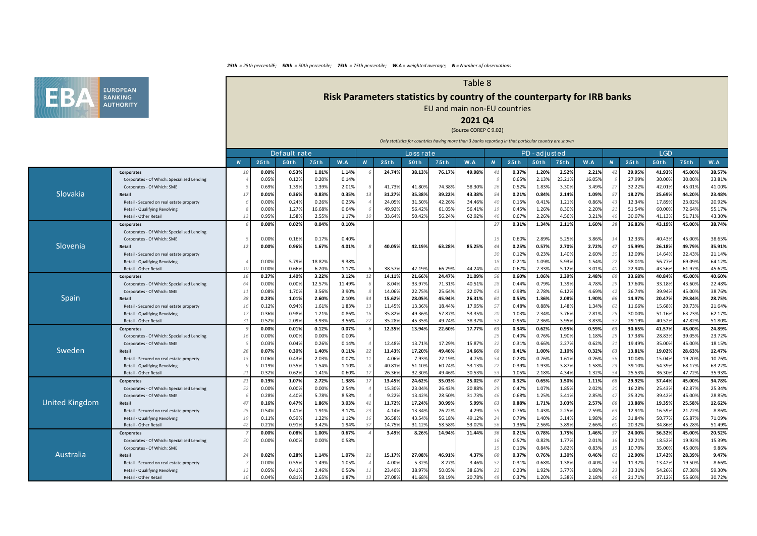

# **Risk Parameters statistics by country of the counterparty for IRB banks**

Table 8

EU and main non-EU countries

## **2021 Q4**

### (Source COREP C 9.02)

|                       |                                                        |                |                | Default rate   |                |                |                |                  | Loss rat e       |                  |                  |                |                | PD - adjusted  |                |                |                      |                  | <b>LGD</b>       |                  |                 |
|-----------------------|--------------------------------------------------------|----------------|----------------|----------------|----------------|----------------|----------------|------------------|------------------|------------------|------------------|----------------|----------------|----------------|----------------|----------------|----------------------|------------------|------------------|------------------|-----------------|
|                       |                                                        | $\overline{N}$ | 25th           | 50th           | 75th           | W.A            | $\overline{N}$ | 25th             | 50th             | 75th             | W.A              | $\overline{N}$ | 25th           | 50th           | 75th           | W.A            | $\overline{M}$       | 25th             | 50th             | 75th             | W.A             |
|                       | Corporates                                             | 10             | 0.00%          | 0.53%          | 1.01%          | 1.14%          |                | 24.74%           | 38.13%           | 76.17%           | 49.98%           | 41             | 0.37%          | 1.20%          | 2.52%          | 2.21%          | 42                   | 29.95%           | 41.93%           | 45.00%           | 38.57%          |
|                       | Corporates - Of Which: Specialised Lending             |                | 0.05%          | 0.12%          | 0.20%          | 0.14%          |                |                  |                  |                  |                  |                | 0.65%          | 2.13%          | 23.21%         | 16.05%         |                      | 27.99%           | 30.00%           | 30.00%           | 33.81%          |
|                       | Corporates - Of Which: SME                             |                | 0.69%          | 1.39%          | 1.39%          | 2.01%          |                | 41.739           | 41.809           | 74.389           | 58.309           | 26             | 0.52%          | 1.83%          | 3.30%          | 3.49%          | -27                  | 32.22%           | 42.019           | 45.01%           | 41.00%          |
| Slovakia              | Retail                                                 | 17             | 0.01%          | 0.36%          | 0.83%          | 0.35%          | 13             | 31.27%           | 35.389           | 39.22%           | 43.389           | 54             | 0.21%          | 0.84%          | 2.14%          | 1.09%          | 57                   | 18.27%           | 25.69%           | 44.20%           | 23.48%          |
|                       | Retail - Secured on real estate property               |                | 0.00%          | 0.24%          | 0.26%          | 0.25%          |                | 24.05%           | 31.509           | 42.269           | 34.469           | 40             | 0.15%          | 0.41%          | 1.21%          | 0.86%          | $\mathcal{A}$        | 12.34%           | 17.89%           | 23.02%           | 20.92%          |
|                       | Retail - Qualifying Revolving                          |                | 0.06%          | 1.27%          | 16.68%         | 0.649          |                | 49.92%           | 56.429           | 61.05%           | 56.419           | 19             | 0.45%          | 1.26%          | 8.30%          | 2.20%          | -21                  | 51.549           | 60.009           | 72.64%           | 55.17%          |
|                       | Retail - Other Retail                                  |                | 0.959          | 1.58%          | 2.55%          | 1.17%          |                | 33.64%           | 50.429           | 56.24%           | 62.929           | 46             | 0.67%          | 2.26%          | 4.56%          | 3.21%          |                      | 30.079           | 41.139           | 51.71%           | 43.30%          |
|                       | <b>Corporates</b>                                      |                | 0.00%          | 0.02%          | 0.04%          | 0.10%          |                |                  |                  |                  |                  | 27             | 0.31%          | 1.34%          | 2.11%          | 1.60%          | 28                   | 36.83%           | 43.19%           | 45.00%           | 38.74%          |
|                       | Corporates - Of Which: Specialised Lending             |                |                |                |                |                |                |                  |                  |                  |                  |                |                |                |                |                |                      |                  |                  |                  |                 |
|                       | Corporates - Of Which: SME                             |                | 0.00%          | 0.16%          | 0.17%          | 0.40%          |                |                  |                  |                  |                  | 15             | 0.60%          | 2.89%          | 5.25%          | 3.86%          | 14                   | 12.33%           | 40.43%           | 45.00%           | 38.65%          |
| Slovenia              | Retail                                                 | 12             | 0.00%          | 0.96%          | 1.67%          | 4.01%          |                | 40.05%           | 42.19%           | 63.28%           | 85.25%           | 44             | 0.25%          | 0.57%          | 2.70%          | 2.72%          | 47                   | 15.99%           | 26.18%           | 49.79%           | 35.91%          |
|                       | Retail - Secured on real estate property               |                |                |                |                |                |                |                  |                  |                  |                  | 30             | 0.12%          | 0.23%          | 1.40%          | 2.60%          | 30                   | 12.09%           | 14.649           | 22.43%           | 21.14%          |
|                       | Retail - Qualifying Revolving                          |                | 0.00%          | 5.79%          | 18.82%         | 9.38%          |                |                  |                  |                  |                  | 18             | 0.21%          | 1.09%          | 5.93%          | 1.54%          | 22                   | 38.019           | 56.77%           | 69.09%           | 64.12%          |
|                       | Retail - Other Retail                                  | 10             | 0.009          | 0.66%          | 6.20%          | 1.179          |                | 38.579           | 42.199           | 66.299           | 44.249           | 40             | 0.679          | 2.33%          | 5.12%          | 3.01%          | $\Delta l$           | 22.949           | 43.569           | 61.97%           | 45.62%          |
|                       | Corporates                                             | 16             | 0.27%          | 1.40%          | 3.22%          | 3.12%          | 12             | 14.119           | 21.669           | 24.47%           | 21.099           | 56             | 0.60%          | 1.06%          | 2.39%          | 2.48%          | 60                   | 33.68%           | 40.84%           | 45.00%           | 40.60%          |
|                       | Corporates - Of Which: Specialised Lending             | 64             | 0.00%          | 0.00%          | 12.57%         | 11.49%         |                | 8.04%            | 33.97%           | 71.31%           | 40.519           | 28             | 0.44%          | 0.79%          | 1.39%          | 4.78%          | 2 <sup>0</sup>       | 17.60%           | 33.18%           | 43.60%           | 22.48%          |
|                       | Corporates - Of Which: SME                             | 11             | 0.08%          | 1.70%          | 3.56%          | 3.90%          |                | 14.06%           | 22.759           | 25.64%           | 22.079           | 43             | 0.98%          | 2.78%          | 6.12%          | 4.69%          | 42                   | 26.74%           | 39.949           | 45.00%           | 38.76%          |
| Spain                 | Retail                                                 | 38             | 0.23%          | 1.01%          | 2.60%          | 2.10%          | 34             | 15.62%           | 28.059           | 45.94%           | 26.31%           | 61             | 0.55%          | 1.36%          | 2.08%          | 1.90%          | 66                   | 14.97%           | 20.47%           | 29.84%           | 28.75%          |
|                       | Retail - Secured on real estate property               | 16             | 0.12%          | 0.94%          | 1.61%          | 1.83%          | 13             | 11.45%           | 13.369           | 18.44%           | 17.959           | 57             | 0.48%          | 0.889          | 1.48%          | 1.34%          | 62                   | 11.66%           | 15.689           | 20.73%           | 21.64%          |
|                       | Retail - Qualifying Revolving                          | 17             | 0.36%          | 0.98%          | 1.21%          | 0.86%          | 16             | 35.82%           | 49.369           | 57.87%           | 53.359           | 20             | 1.03%          | 2.34%          | 3.76%          | 2.81%          | 25                   | 30.00%           | 51.16%           | 63.23%           | 62.17%          |
|                       | Retail - Other Retail                                  | $-31$          | 0.52%          | 2.09%          | 3.93%          | 3.56%          | 27             | 35.289           | 45.359           | 49.74%           | 38.37            | 52             | 0.959          | 2.36%          | 3.95%          | 3.83%          |                      | 29.199           | 40.529           | 47.82%           | 51.80%          |
|                       | Corporates                                             |                | 0.00%          | 0.01%          | 0.12%          | 0.07%          |                | 12.35%           | 13.949           | 22.60%           | 17.77%           | 63             | 0.34%          | 0.62%          | 0.95%          | 0.59%          | 63                   | 30.65%           | 41.57%           | 45.00%           | 24.89%          |
|                       | Corporates - Of Which: Specialised Lending             | 16             | 0.00%          | 0.00%          | 0.00%          | 0.00%          |                |                  |                  |                  |                  | 25             | 0.40%          | 0.76%          | 1.90%          | 1.18%          | 25                   | 17.38%           | 28.83%           | 39.05%           | 23.72%          |
|                       | Corporates - Of Which: SME                             |                | 0.03%          | 0.04%          | 0.26%          | 0.14%          |                | 12.48%           | 13.719           | 17.299           | 15.879           | 32             | 0.31%          | 0.66%          | 2.27%          | 0.62%          | 3                    | 19.49%           | 35.009           | 45.00%           | 18.15%          |
| Sweden                | Retail                                                 | 26             | 0.07%          | 0.30%          | 1.40%          | 0.11%          | 22             | 11.43%           | 17.20%           | 49.46%           | 14.66%           | 60             | 0.41%          | 1.00%          | 2.10%          | 0.32%          | 63                   | 13.81%           | 19.02%           | 28.63%           | 12.47%          |
|                       | Retail - Secured on real estate property               | 13             | 0.06%          | 0.43%          | 2.03%          | 0.07%          | 11             | 4.06%            | 7.939            | 22.19%           | 4.759            | 54             | 0.23%          | 0.76%          | 1.61%          | 0.26%          | $-56$                | 10.08%           | 15.04%           | 19.20%           | 10.76%          |
|                       | Retail - Qualifying Revolving                          |                | 0.19%          | 0.55%          | 1.54%          | 1.10%          |                | 40.819           | 51.109           | 60.74%           | 53.139           | 22             | 0.39%          | 1.93%          | 3.87%          | 1.58%          | -23                  | 39.10%           | 54.39%           | 68.17%           | 63.22%          |
|                       | Retail - Other Retail                                  | 21             | 0.32%          | 0.62%          | 1.41%          | 0.60%          | 17             | 26.369           | 32.309           | 49.46%           | 30.539           | 53             | 1.05%          | 2.189          | 4.34%          | 1.32%          |                      | 25.539           | 36.30%           | 47.72%           | 35.93%          |
|                       | <b>Corporates</b>                                      | 21             | 0.19%          | 1.07%          | 2.72%          | 1.38%          | 17             | 13.45%           | 24.62%           | 35.03%           | 25.02%           | 67             | 0.32%          | 0.65%          | 1.50%          | 1.11%          | 68                   | 29.92%           | 37.44%           | 45.00%           | 34.78%          |
|                       | Corporates - Of Which: Specialised Lending             | 52             | 0.00%          | 0.00%          | 0.00%          | 2.549          |                | 15.309           | 23.04%           | 26.439           | 20.889           | 29             | 0.47%          | 1.079          | 1.85%          | 2.02%          | $-30$                | 16.28%           | 25.43%           | 42.87%           | 25.34%          |
| <b>United Kingdom</b> | Corporates - Of Which: SME                             |                | 0.28%          | 4.40%          | 5.78%          | 8.58%          |                | 9.229            | 13.429           | 28.509           | 31.739           | 46             | 0.68%          | 1.25%          | 3.41%          | 2.85%          | $\overline{4}$<br>66 | 25.32%           | 39.42%           | 45.00%<br>25.58% | 28.85%          |
|                       | Retail                                                 | 47             | 0.16%          | 0.47%          | 1.86%          | 3.03%          | 41<br>23       | 11.72%           | 17.24%           | 30.99%           | 5.99%            | 63             | 0.88%          | 1.71%          | 3.03%          | 2.57%          | 63                   | 13.88%           | 19.35%           | 21.22%           | 12.62%          |
|                       | Retail - Secured on real estate property               | 25             | 0.54%          | 1.41%<br>0.59% | 1.91%<br>1.22% | 3.179          |                | 4.149            | 13.349           | 26.229<br>56.18% | 4.299<br>49.129  | 59             | 0.76%<br>0.79% | 1.439          | 2.25%          | 2.59%<br>1.98% |                      | 12.919           | 16.59%<br>50.77% | 65.87%           | 8.86%<br>71.09% |
|                       | Retail - Qualifying Revolving<br>Retail - Other Retail | 19<br>42       | 0.11%<br>0.21% | 0.91%          | 3.42%          | 1.12%<br>1.949 | 16<br>37       | 36.589<br>14.759 | 43.549<br>31.129 | 58.589           | 53.02            | 24<br>56       | 1.36%          | 1.40%<br>2.56% | 3.14%<br>3.89% | 2.66%          | -26                  | 31.84%<br>20.32% | 34.869           | 45.28%           | 51.49%          |
|                       | Corporates                                             |                | 0.00%          | 0.08%          | 1.00%          | 0.67%          |                | 3.49%            | 8.26%            | 14.94%           | 11.44%           | 36             | 0.21%          | 0.78%          | 1.75%          | 1.46%          | -37                  | 24.00%           | 36.32%           | 45.00%           | 20.52%          |
|                       | Corporates - Of Which: Specialised Lending             | 50             | 0.00%          | 0.00%          | 0.00%          | 0.58%          |                |                  |                  |                  |                  | 16             | 0.57%          | 0.82%          | 1.77%          | 2.01%          | 1 <sup>1</sup>       | 12.21%           | 18.52%           | 19.92%           | 15.39%          |
|                       |                                                        |                |                |                |                |                |                |                  |                  |                  |                  | 15             | 0.16%          |                | 3.82%          | 0.83%          | 15                   | 10.70%           | 35.00%           | 45.00%           | 9.86%           |
| Australia             | Corporates - Of Which: SME<br>Retail                   |                | 0.02%          | 0.28%          | 1.14%          | 1.07%          | 21             | 15.17%           | 27.089           | 46.91%           | 4.37             | 60             | 0.37%          | 0.84%<br>0.76% | 1.30%          | 0.46%          | 6                    | 12.90%           |                  | 28.39%           | 9.47%           |
|                       |                                                        | 24             |                |                |                |                |                |                  |                  |                  |                  | 52             |                |                |                |                | .54                  |                  | 17.42%<br>13.42% | 19.50%           | 8.66%           |
|                       | Retail - Secured on real estate property               | 12             | 0.00%          | 0.55%          | 1.49%          | 1.05%          |                | 4.00%            | 5.329            | 8.27%            | 3.469            | 22             | 0.31%          | 0.68%<br>1.92% | 1.38%<br>3.77% | 0.40%          | 23                   | 11.32%<br>33.31% |                  | 67.38%           | 59.30%          |
|                       | Retail - Qualifying Revolving<br>Retail - Other Retail | 16             | 0.05%<br>0.04% | 0.41%<br>0.81% | 2.46%<br>2.65% | 0.56%<br>1.87% | 11<br>13       | 23.40%<br>27.08% | 38.979<br>41.68% | 50.05%<br>58.19% | 38.639<br>20.78% | 48             | 0.23%<br>0.37% | 1.20%          | 3.38%          | 1.08%<br>2.18% |                      | 21.71%           | 54.26%<br>37.12% | 55.60%           | 30.72%          |
|                       |                                                        |                |                |                |                |                |                |                  |                  |                  |                  |                |                |                |                |                |                      |                  |                  |                  |                 |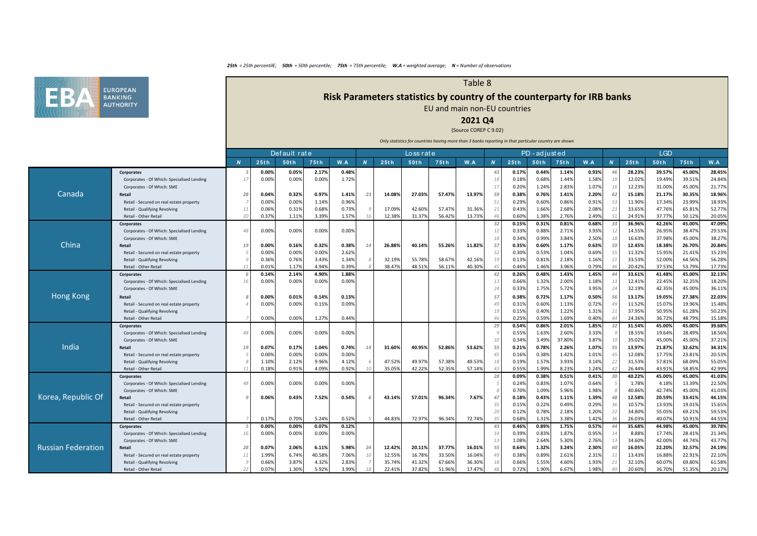

# **Risk Parameters statistics by country of the counterparty for IRB banks**

Table 8

EU and main non-EU countries

## **2021 Q4**

### (Source COREP C 9.02)

|                           |                                                                          |                |       | Default rate |        |       |    |        | Loss rat e |        |        |                |                | PD - adjusted  |                |                |                       |                  | <b>LGD</b>       |                  |                  |
|---------------------------|--------------------------------------------------------------------------|----------------|-------|--------------|--------|-------|----|--------|------------|--------|--------|----------------|----------------|----------------|----------------|----------------|-----------------------|------------------|------------------|------------------|------------------|
|                           |                                                                          | $\overline{N}$ | 25th  | 50th         | 75th   | W.A   |    | 25th   | 50th       | 75th   | W.A    | N              | 25th           | 50th           | 75th           | W.A            | $\boldsymbol{N}$      | 25th             | 50th             | 75th             | W.A              |
|                           | <b>Corporates</b>                                                        |                | 0.00% | 0.05%        | 2.17%  | 0.48% |    |        |            |        |        | 43             | 0.17%          | 0.44%          | 1.149          | 0.93%          |                       | 28.23%           | 39.57%           | 45.00%           | 28.45%           |
|                           | Corporates - Of Which: Specialised Lending                               | $\overline{1}$ | 0.00% | 0.00%        | 0.00%  | 1.72% |    |        |            |        |        | 18             | 0.18%          | 0.68%          | 1.44%          | 1.58%          | 19                    | 12.02%           | 19.49%           | 39.51%           | 24.84%           |
|                           | Corporates - Of Which: SME                                               |                |       |              |        |       |    |        |            |        |        | 17             | 0.20%          | 1.24%          | 2.83%          | 1.07%          | 1 <sup>1</sup>        | 12.23%           | 31.00%           | 45.00%           | 21.77%           |
| Canada                    | Retail                                                                   | -28            | 0.04% | 0.32%        | 0.97%  | 1.41% | 23 | 14.08% | 27.03%     | 57.47% | 13.97% | 59             | 0.38%          | 0.76%          | 1.41%          | 2.20%          | 62                    | 15.18%           | 21.17%           | 30.35%           | 18.96%           |
|                           | Retail - Secured on real estate property                                 |                | 0.00% | 0.00%        | 1.14%  | 0.96% |    |        |            |        |        | 51             | 0.29%          | 0.609          | 0.86%          | 0.91%          | 53                    | 11.90%           | 17.34%           | 23.99%           | 18.93%           |
|                           | Retail - Qualifying Revolving                                            | 11             | 0.06% | 0.31%        | 0.68%  | 0.73% |    | 17.09% | 42.60%     | 57.47% | 31.369 | 21             | 0.43%          | 1.66%          | 2.68%          | 2.08%          | -25                   | 33.65%           | 47.76%           | 65.81%           | 52.77%           |
|                           | Retail - Other Retail                                                    | 20             | 0.37% | 1.11%        | 3.39%  | 1.57% | 16 | 12.38% | 31.37%     | 56.42% | 13.739 | 46             | 0.60%          | 1.38%          | 2.76%          | 2.49%          | -51                   | 24.91%           | 37.77%           | 50.12%           | 20.05%           |
|                           | Corporates                                                               |                |       |              |        |       |    |        |            |        |        | 32             | 0.15%          | 0.31%          | 0.81%          | 0.68%          | 33                    | 36.96%           | 42.26%           | 45.00%           | 47.09%           |
|                           | Corporates - Of Which: Specialised Lending                               | 48             | 0.00% | 0.00%        | 0.00%  | 0.00% |    |        |            |        |        | 12             | 0.33%          | 0.88%          | 2.71%          | 3.93%          | 12                    | 14.55%           | 26.95%           | 38.47%           | 29.53%           |
|                           | Corporates - Of Which: SME                                               |                |       |              |        |       |    |        |            |        |        | 18             | 0.34%          | 0.99%          | 3.84%          | 2.50%          | 18                    | 16.63%           | 37.98%           | 45.00%           | 38.27%           |
| China                     | Retail                                                                   |                | 0.00% | 0.16%        | 0.32%  | 0.38% |    | 26.88% | 40.14%     | 55.26% | 11.82% | 57             | 0.35%          | 0.60%          | 1.179          | 0.63%          | 59                    | 12.45%           | 18.38%           | 26.70%           | 20.84%           |
|                           | Retail - Secured on real estate property                                 |                | 0.00% | 0.00%        | 0.00%  | 2.62% |    |        |            |        |        | 52             | 0.30%          | 0.53%          | 1.04%          | 0.69%          | 55                    | 11.32%           | 15.95%           | 21.41%           | 15.23%           |
|                           | Retail - Qualifying Revolving                                            |                | 0.36% | 0.76%        | 3.43%  | 1.34% |    | 32.19% | 55.78%     | 58.67% | 42.169 | 19             | 0.13%          | 0.81%          | 2.18%          | 1.16%          | 2:                    | 33.53%           | 52.00%           | 64.56%           | 56.28%           |
|                           | Retail - Other Retail                                                    |                | 0.01% | 1.17%        | 4.94%  | 0.39% |    | 38.47% | 48.51%     | 56.11% | 40.309 | 45             | 0.46%          | 1.46%          | 3.96%          | 0.79%          | $\overline{4}$        | 20.42%           | 37.53%           | 53.79%           | 17.73%           |
|                           | Corporates                                                               |                | 0.14% | 2.14%        | 4.90%  | 1.88% |    |        |            |        |        | 42             | 0.26%          | 0.48%          | 1.43%          | 1.45%          | 44                    | 33.61%           | 41.48%           | 45.00%           | 32.13%           |
|                           | Corporates - Of Which: Specialised Lending                               | 16             | 0.00% | 0.00%        | 0.00%  | 0.00% |    |        |            |        |        | 13             | 0.66%          | 1.32%          | 2.00%          | 1.18%          | $\mathbf{1}$          | 12.41%           | 22.45%           | 32.25%           | 18.20%           |
|                           | Corporates - Of Which: SME                                               |                |       |              |        |       |    |        |            |        |        | 24             | 0.33%          | 1.75%          | 5.72%          | 3.95%          | 24                    | 32.19%           | 42.35%           | 45.009           | 36.11%           |
| <b>Hong Kong</b>          | Retail                                                                   |                | 0.00% | 0.01%        | 0.14%  | 0.13% |    |        |            |        |        | 57             | 0.38%          | 0.72%          | 1.17%          | 0.50%          | 56                    | 13.17%           | 19.05%           | 27.389           | 22.03%           |
|                           | Retail - Secured on real estate property                                 |                | 0.00% | 0.00%        | 0.15%  | 0.09% |    |        |            |        |        | 4 <sup>c</sup> | 0.31%          | 0.60%          | 1.13%          | 0.72%          | $\mathcal{A}$         | 11.52%           | 15.07%           | 19.96%           | 15.48%           |
|                           | Retail - Qualifying Revolving                                            |                |       |              |        |       |    |        |            |        |        | 15             | 0.15%          | 0.40%          | 1.22%          | 1.31%          | 2                     | 37.95%           | 50.95%           | 61.28%           | 50.23%           |
|                           | Retail - Other Retail                                                    |                | 0.00% | 0.00%        | 1.27%  | 0.44% |    |        |            |        |        | $\Delta f$     | 0.259          | 0.59%          | 1.69%          | 0.40%          | $\Delta$              | 24.36%           | 36.72%           | 48.79%           | 15.18%           |
|                           | <b>Corporates</b>                                                        |                |       |              |        |       |    |        |            |        |        | 29             | 0.54%          | 0.86%          | 2.01%          | 1.85%          | 32                    | 31.54%           | 45.00%           | 45.00%           | 39.68%           |
|                           | Corporates - Of Which: Specialised Lending                               | $\Delta$       | 0.00% | 0.00%        | 0.00%  | 0.00% |    |        |            |        |        |                | 0.55%          | 1.63%          | 2.60%          | 3.33%          |                       | 18.55%           | 19.64%           | 28.49%           | 18.56%           |
|                           | Corporates - Of Which: SME                                               |                |       |              |        |       |    |        |            |        |        |                | 0.34%          | 3.49%          | 37.80%         | 3.87%          | 10                    | 35.02%           | 45.00%           | 45.00%           | 37.21%           |
| India                     | Retail                                                                   | 19             | 0.07% | 0.17%        | 1.04%  | 0.74% | 14 | 31.60% | 40.95%     | 52.86% | 53.62% | 55             | 0.21%          | 0.78%          | 2.26%          | 1.07%          | 55                    | 13.97%           | 21.87%           | 32.62%           | 34.31%           |
|                           | Retail - Secured on real estate property                                 |                | 0.00% | 0.00%        | 0.00%  | 0.00% |    |        |            |        |        | 4 <sup>5</sup> | 0.16%          | 0.389          | 1.42%          | 1.01%          | $\mathcal{A}$         | 12.08%           | 17.75%           | 23.819           | 20.53%           |
|                           | Retail - Qualifying Revolving                                            |                | 1.109 | 2.12%        | 9.96%  | 4.12% |    | 47.52% | 49.97%     | 57.38% | 49.539 | 18             | 0.19%          | 1.57%          | 3.93%          | 3.14%          | -22<br>$\overline{4}$ | 31.53%           | 57.81%           | 68.09%           | 55.05%           |
|                           | Retail - Other Retail                                                    | 1:             | 0.18% | 0.91%        | 4.09%  | 0.92% |    | 35.05% | 42.22%     | 52.35% | 57.14% | 43             | 0.55%          | 1.99%<br>0.38% | 8.23%<br>0.51% | 1.24%          | 30                    | 26.44%<br>40.22% | 43.91%<br>45.00% | 58.859<br>45.00% | 42.99%<br>41.03% |
|                           | <b>Corporates</b>                                                        | $\Delta$       | 0.00% | 0.00%        | 0.00%  | 0.00% |    |        |            |        |        | 28             | 0.09%<br>0.24% | 0.83%          | 1.07%          | 0.41%<br>0.64% |                       | 1.78%            | 4.18%            | 13.39%           | 22.50%           |
|                           | Corporates - Of Which: Specialised Lending<br>Corporates - Of Which: SME |                |       |              |        |       |    |        |            |        |        |                | 0.70%          | 1.09%          | 5.96%          | 1.98%          |                       | 40.86%           | 42.74%           | 45.00%           | 41.03%           |
| Korea, Republic Of        | Retail                                                                   |                | 0.06% | 0.43%        | 7.52%  | 0.54% |    | 43.14% | 57.01%     | 96.34% | 7.67%  | 47             | 0.18%          | 0.43%          | 1.119          | 1.39%          | 48                    | 12.58%           | 20.59%           | 33.419           | 44.15%           |
|                           | Retail - Secured on real estate property                                 |                |       |              |        |       |    |        |            |        |        | 35             | 0.15%          | 0.22%          | 0.49%          | 0.29%          | 36                    | 10.57%           | 13.93%           | 19.01%           | 15.65%           |
|                           | Retail - Qualifying Revolving                                            |                |       |              |        |       |    |        |            |        |        | 20             | 0.12%          | 0.78%          | 2.18%          | 1.20%          | -2                    | 34.80%           | 55.05%           | 69.21%           | 59.53%           |
|                           | Retail - Other Retail                                                    |                | 0.17% | 0.70%        | 5.24%  | 0.52% |    | 44.83% | 72.97%     | 96.34% | 72.749 | 35             | 0.68%          | 1.31%          | 3.38%          | 1.42%          | 36                    | 26.03%           | 40.07%           | 50.91%           | 44.55%           |
|                           | Corporates                                                               |                | 0.00% | 0.00%        | 0.07%  | 0.12% |    |        |            |        |        | 43             | 0.46%          | 0.89%          | 1.75%          | 0.57%          | 44                    | 35.68%           | 44.98%           | 45.00%           | 39.78%           |
|                           | Corporates - Of Which: Specialised Lending                               | 1 f            | 0.00% | 0.00%        | 0.00%  | 0.00% |    |        |            |        |        | 14             | 0.39%          | 0.83%          | 1.87%          | 0.95%          | -14                   | 8.88%            | 17.74%           | 28.41%           | 21.34%           |
|                           | Corporates - Of Which: SME                                               |                |       |              |        |       |    |        |            |        |        | 13             | 1.08%          | 2.64%          | 5.30%          | 2.76%          | 13                    | 34.60%           | 42.00%           | 44.74%           | 43.77%           |
| <b>Russian Federation</b> | Retail                                                                   | 28             | 0.07% | 2.06%        | 6.11%  | 5.98% | 24 | 12.42% | 20.11%     | 37.77% | 16.019 | 55             | 0.64%          | 1.32%          | 3.24%          | 2.30%          | 60                    | 16.05%           | 22.20%           | 32.57%           | 24.19%           |
|                           | Retail - Secured on real estate property                                 | 1:             | 1.99% | 6.74%        | 40.58% | 7.06% | 10 | 12.55% | 16.78%     | 33.50% | 16.049 | 49             | 0.38%          | 0.89%          | 2.61%          | 2.31%          | 5.                    | 13.43%           | 16.88%           | 22.91%           | 22.10%           |
|                           | Retail - Qualifying Revolving                                            |                | 0.66% | 3.87%        | 4.32%  | 2.83% |    | 35.74% | 41.32%     | 67.66% | 36.309 | 18             | 0.669          | 1.55%          | 4.60%          | 1.93%          | 21                    | 32.10%           | 60.07%           | 69.809           | 61.58%           |
|                           | Retail - Other Retail                                                    | 22             | 0.079 | 1.30%        | 5.92%  | 3.99% |    | 22.41% | 37.82%     | 51.96% | 17.479 | 48             | 0.72%          | 1.90%          | 6.67%          | 1.98%          | $\Delta$              | 20.60%           | 36.70%           | 51.359           | 20.17%           |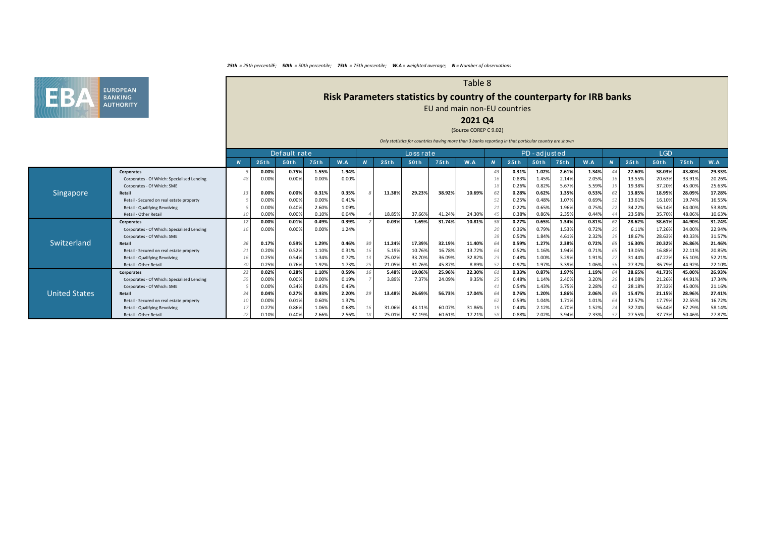

# **Risk Parameters statistics by country of the counterparty for IRB banks**

## EU and main non-EU countries

## **2021 Q4**

Table 8

#### (Source COREP C 9.02)

|                      |                                            |                | Default rate |       |       |       |    | Loss rate |        |        |        |    | PD-adjusted |       |       |       |                  | <b>LGD</b> |        |        |        |
|----------------------|--------------------------------------------|----------------|--------------|-------|-------|-------|----|-----------|--------|--------|--------|----|-------------|-------|-------|-------|------------------|------------|--------|--------|--------|
|                      |                                            | $\overline{N}$ | 25th         | 50th  | 75th  | W.A   |    | 25th      | 50th   | 75th   | W.A    |    | 25th        | 50th  | 75th  | W.A   | $\boldsymbol{N}$ | 25th       | 50th   | 75th   | W.A    |
|                      | <b>Corporates</b>                          |                | 0.00%        | 0.75% | 1.55% | 1.94% |    |           |        |        |        | 43 | 0.31%       | 1.02% | 2.61% | 1.34% |                  | 27.60%     | 38.03% | 43.80% | 29.33% |
|                      | Corporates - Of Which: Specialised Lending |                | 0.00%        | 0.00% | 0.00% | 0.00% |    |           |        |        |        |    | 0.83%       | 1.45% | 2.14% | 2.05% |                  | 13.55%     | 20.639 | 33.91% | 20.26% |
|                      | Corporates - Of Which: SME                 |                |              |       |       |       |    |           |        |        |        |    | 0.26%       | 0.82% | 5.67% | 5.59% |                  | 19.38%     | 37.20% | 45.00% | 25.63% |
| Singapore            | Retail                                     |                | 0.00%        | 0.00% | 0.31% | 0.35% |    | 11.38%    | 29.23% | 38.92% | 10.69% | 62 | 0.28%       | 0.62% | 1.35% | 0.53% |                  | 13.85%     | 18.95% | 28.09% | 17.28% |
|                      | Retail - Secured on real estate property   |                | 0.00%        | 0.00% | 0.00% | 0.41% |    |           |        |        |        |    | 0.25%       | 0.48% | 1.07% | 0.69% |                  | 13.61%     | 16.10% | 19.74% | 16.55% |
|                      | Retail - Qualifying Revolving              |                | 0.00%        | 0.40% | 2.60% | 1.09% |    |           |        |        |        |    | 0.22%       | 0.65% | 1.96% | 0.75% |                  | 34.22%     | 56.14% | 64.00% | 53.84% |
|                      | Retail - Other Retail                      |                | 0.00%        | 0.00% | 0.10% | 0.04% |    | 18.85%    | 37.66% | 41.24% | 24.30% |    | 0.38%       | 0.86% | 2.35% | 0.44% |                  | 23.58%     | 35.70% | 48.06% | 10.63% |
|                      | <b>Corporates</b>                          |                | 0.00%        | 0.01% | 0.49% | 0.39% |    | 0.03%     | 1.69%  | 31.74% | 10.81% |    | 0.27%       | 0.65% | 1.34% | 0.81% |                  | 28.62%     | 38.61% | 44.90% | 31.24% |
|                      | Corporates - Of Which: Specialised Lending |                | 0.00%        | 0.00% | 0.00% | 1.24% |    |           |        |        |        |    | 0.36%       | 0.79% | 1.53% | 0.72% |                  | 6.11%      | 17.26% | 34.00% | 22.94% |
|                      | Corporates - Of Which: SME                 |                |              |       |       |       |    |           |        |        |        |    | 0.50%       | 1.84% | 4.61% | 2.32% |                  | 18.679     | 28.63% | 40.33% | 31.57% |
| Switzerland          | Retail                                     |                | 0.17%        | 0.59% | 1.29% | 0.46% | 30 | 11.24%    | 17.39% | 32.19% | 11.40% |    | 0.59%       | 1.27% | 2.38% | 0.72% |                  | 16.30%     | 20.32% | 26.86% | 21.46% |
|                      | Retail - Secured on real estate property   |                | 0.20%        | 0.52% | 1.10% | 0.31% | 16 | 5.19%     | 10.76% | 16.789 | 13.729 |    | 0.52%       | 1.16% | 1.94% | 0.71% |                  | 13.05%     | 16.88% | 22.11% | 20.85% |
|                      | Retail - Qualifying Revolving              |                | 0.25%        | 0.54% | 1.34% | 0.72% |    | 25.02%    | 33.70% | 36.099 | 32.82% |    | 0.48%       | 1.00% | 3.29% | 1.91% |                  | 31.44%     | 47.22% | 65.109 | 52.21% |
|                      | Retail - Other Retail                      |                | 0.25%        | 0.76% | 1.92% | 1.73% |    | 21.05%    | 31.76% | 45.87% | 8.89%  |    | 0.97%       | 1.97% | 3.39% | 1.06% |                  | 27.37%     | 36.79% | 44.92% | 22.10% |
|                      | <b>Corporates</b>                          | 22             | 0.02%        | 0.28% | 1.10% | 0.59% |    | 5.48%     | 19.06% | 25.96% | 22.30% |    | 0.33%       | 0.87% | 1.97% | 1.19% |                  | 28.65%     | 41.73% | 45.00% | 26.93% |
|                      | Corporates - Of Which: Specialised Lending |                | 0.00%        | 0.00% | 0.00% | 0.19% |    | 3.89%     | 7.37%  | 24.099 | 9.35%  |    | 0.48%       | 1.14% | 2.40% | 3.20% |                  | 14.08%     | 21.26% | 44.91% | 17.34% |
|                      | Corporates - Of Which: SME                 |                | 0.00%        | 0.34% | 0.43% | 0.45% |    |           |        |        |        |    | 0.54%       | 1.43% | 3.75% | 2.28% |                  | 28.18%     | 37.32% | 45.00% | 21.16% |
| <b>United States</b> | Retail                                     |                | 0.04%        | 0.27% | 0.93% | 2.20% |    | 13.48%    | 26.69% | 56.73% | 17.04% |    | 0.76%       | 1.20% | 1.86% | 2.06% |                  | 15.47%     | 21.15% | 28.96% | 27.41% |
|                      | Retail - Secured on real estate property   |                | 0.00%        | 0.01% | 0.60% | 1.37% |    |           |        |        |        |    | 0.59%       | 1.04% | 1.71% | 1.01% |                  | 12.57%     | 17.79% | 22.55% | 16.72% |
|                      | Retail - Qualifying Revolving              |                | 0.27%        | 0.86% | 1.06% | 0.68% |    | 31.06%    | 43.11% | 60.07% | 31.86% |    | 0.44%       | 2.12% | 4.70% | 1.52% |                  | 32.74%     | 56.44% | 67.29% | 58.14% |
|                      | Retail - Other Retail                      |                | 0.10%        | 0.40% | 2.66% | 2.56% |    | 25.01%    | 37.19% | 60.619 | 17.219 |    | 0.88%       | 2.02% | 3.94% | 2.33% |                  | 27.55%     | 37.73% | 50.46% | 27.87% |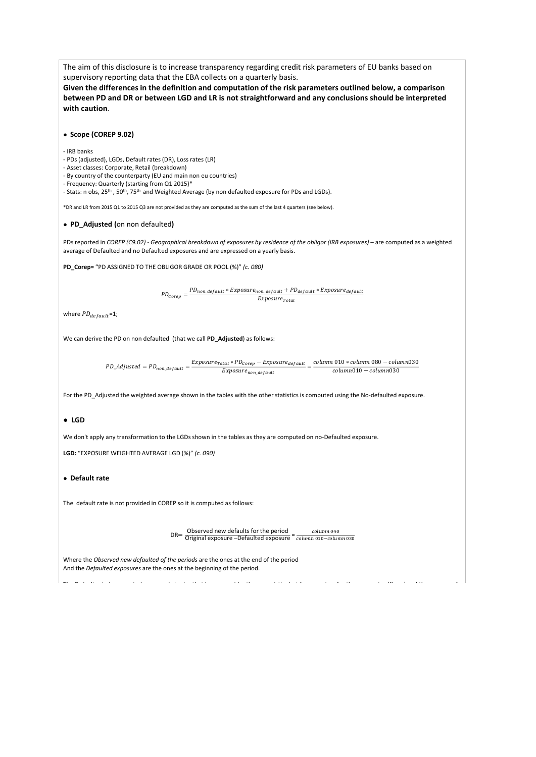The aim of this disclosure is to increase transparency regarding credit risk parameters of EU banks based on supervisory reporting data that the EBA collects on a quarterly basis.

**Given the differences in the definition and computation of the risk parameters outlined below, a comparison between PD and DR or between LGD and LR is not straightforward and any conclusions should be interpreted with caution***.*

## **● Scope (COREP 9.02)**

- IRB banks

- PDs (adjusted), LGDs, Default rates (DR), Loss rates (LR)

- Asset classes: Corporate, Retail (breakdown)

- By country of the counterparty (EU and main non eu countries)

- Frequency: Quarterly (starting from Q1 2015)\*

- Stats: n obs, 25<sup>th</sup>, 50<sup>th</sup>, 75<sup>th</sup> and Weighted Average (by non defaulted exposure for PDs and LGDs).

\*DR and LR from 2015 Q1 to 2015 Q3 are not provided as they are computed as the sum of the last 4 quarters (see below).

#### **● PD\_Adjusted (**on non defaulted**)**

PDs reported in *COREP (C9.02) - Geographical breakdown of exposures by residence of the obligor (IRB exposures) – are computed as a weighted* average of Defaulted and no Defaulted exposures and are expressed on a yearly basis.

**PD\_Corep=** "PD ASSIGNED TO THE OBLIGOR GRADE OR POOL (%)" *(c. 080)*

 $\label{eq:1} \mathit{PD}_{\mathit{Corep}}=\frac{\mathit{PD}_{\mathit{non\_default}}*\mathit{Exposure}_{\mathit{non\_default}}+\mathit{PD}_{\mathit{default}}*\mathit{Exposure}_{\mathit{default}}}{\mathit{--}}$  $Exposure_{Total}$ 

where  $PD_{default}$ =1;

We can derive the PD on non defaulted (that we call **PD\_Adjusted**) as follows:

$$
\label{eq:PD} \textit{PD\_adjusted} = \textit{PD}_{non\_default} = \frac{\textit{Exposure}_{total} * \textit{PD}_{core} - \textit{Exposure}_{default}}{\textit{Exposure}_{non\_default}} = \frac{\textit{column 010 * column 080 - column 030}}{\textit{column 010 - column 030}}
$$

For the PD\_Adjusted the weighted average shown in the tables with the other statistics is computed using the No-defaulted exposure.

#### **● LGD**

We don't apply any transformation to the LGDs shown in the tables as they are computed on no-Defaulted exposure.

**LGD:** "EXPOSURE WEIGHTED AVERAGE LGD (%)" *(c. 090)*

## **● Default rate**

The default rate is not provided in COREP so it is computed as follows:

DR= $\frac{\text{Observed new defaults for the period}}{\text{Original exposure} - \text{Defaulated exposure}} = \frac{column\ 040}{column\ 010 - column\ 030}$ 

The filtress is the little to the filt the distribution of the filtress in the filtress of the filtress of the<br>The filtress of the filtress of the filtress of the filtress of the filtress of the filtress of the filtress o

Where the *Observed new defaulted of the periods* are the ones at the end of the period And the *Defaulted exposures* are the ones at the beginning of the period.